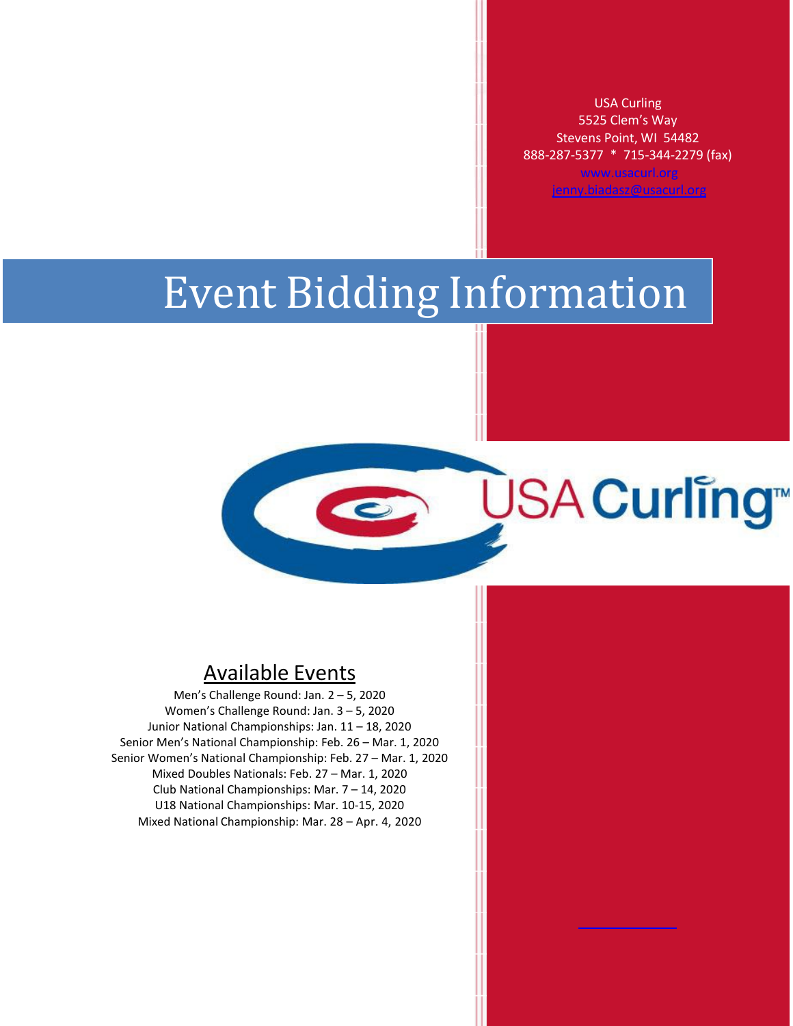USA Curling 5525 Clem's Way Stevens Point, WI 54482 888-287-5377 \* 715-344-2279 (fax) [www.usacurl.org](http://www.usacurl.org/) [jenny.biadasz@usacurl.org](mailto:jenny.biadasz@usacurl.org)

**ŪSA Curling™** 

# Event Bidding Information

# Available Events

Men's Challenge Round: Jan. 2 – 5, 2020 Women's Challenge Round: Jan. 3 – 5, 2020 Junior National Championships: Jan. 11 – 18, 2020 Senior Men's National Championship: Feb. 26 – Mar. 1, 2020 Senior Women's National Championship: Feb. 27 – Mar. 1, 2020 Mixed Doubles Nationals: Feb. 27 – Mar. 1, 2020 Club National Championships: Mar. 7 – 14, 2020 U18 National Championships: Mar. 10-15, 2020 Mixed National Championship: Mar. 28 – Apr. 4, 2020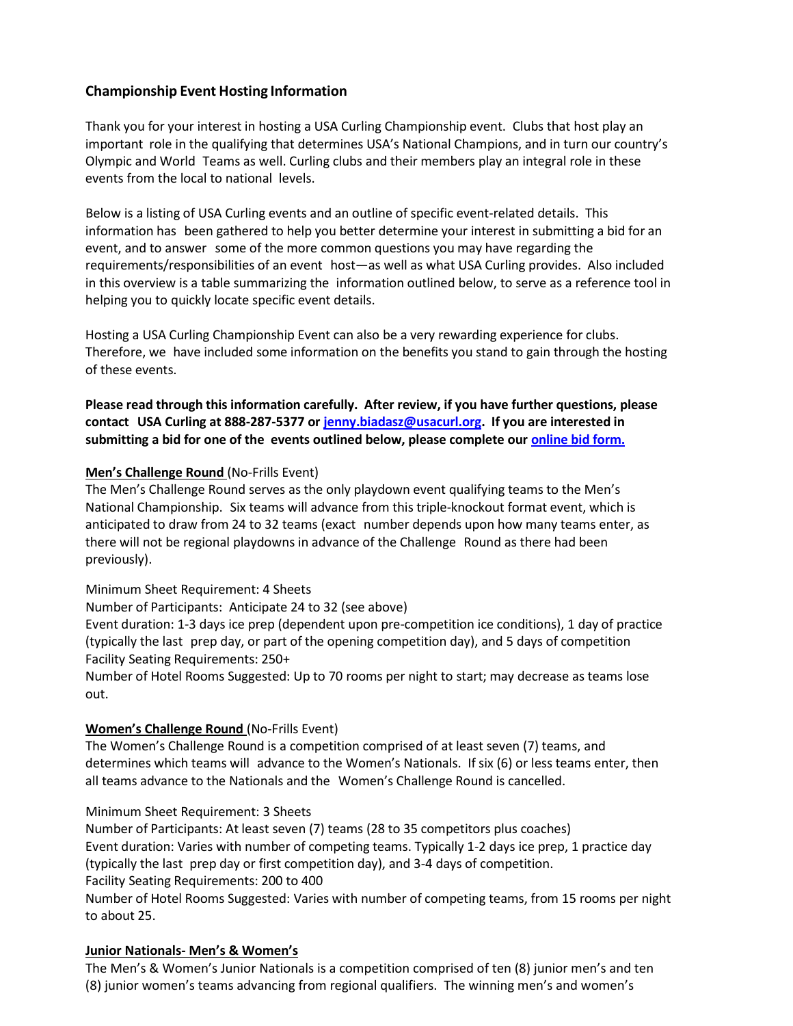#### **Championship Event Hosting Information**

Thank you for your interest in hosting a USA Curling Championship event. Clubs that host play an important role in the qualifying that determines USA's National Champions, and in turn our country's Olympic and World Teams as well. Curling clubs and their members play an integral role in these events from the local to national levels.

Below is a listing of USA Curling events and an outline of specific event-related details. This information has been gathered to help you better determine your interest in submitting a bid for an event, and to answer some of the more common questions you may have regarding the requirements/responsibilities of an event host—as well as what USA Curling provides. Also included in this overview is a table summarizing the information outlined below, to serve as a reference tool in helping you to quickly locate specific event details.

Hosting a USA Curling Championship Event can also be a very rewarding experience for clubs. Therefore, we have included some information on the benefits you stand to gain through the hosting of these events.

**Please read through this information carefully. After review, if you have further questions, please contact USA Curling at 888-287-5377 or [jenny.biadasz@usacurl.org.](mailto:jenny.biadasz@usacurl.org) If you are interested in submitting a bid for one of the events outlined below, please complete our [online bid form.](https://usacurling.wufoo.com/forms/z1b19bfx0zmqhbc/)**

#### **Men's Challenge Round** (No-Frills Event)

The Men's Challenge Round serves as the only playdown event qualifying teams to the Men's National Championship. Six teams will advance from this triple-knockout format event, which is anticipated to draw from 24 to 32 teams (exact number depends upon how many teams enter, as there will not be regional playdowns in advance of the Challenge Round as there had been previously).

Minimum Sheet Requirement: 4 Sheets

Number of Participants: Anticipate 24 to 32 (see above)

Event duration: 1-3 days ice prep (dependent upon pre-competition ice conditions), 1 day of practice (typically the last prep day, or part of the opening competition day), and 5 days of competition Facility Seating Requirements: 250+

Number of Hotel Rooms Suggested: Up to 70 rooms per night to start; may decrease as teams lose out.

#### **Women's Challenge Round** (No-Frills Event)

The Women's Challenge Round is a competition comprised of at least seven (7) teams, and determines which teams will advance to the Women's Nationals. If six (6) or less teams enter, then all teams advance to the Nationals and the Women's Challenge Round is cancelled.

Minimum Sheet Requirement: 3 Sheets

Number of Participants: At least seven (7) teams (28 to 35 competitors plus coaches) Event duration: Varies with number of competing teams. Typically 1-2 days ice prep, 1 practice day (typically the last prep day or first competition day), and 3-4 days of competition. Facility Seating Requirements: 200 to 400 Number of Hotel Rooms Suggested: Varies with number of competing teams, from 15 rooms per night

to about 25.

#### **Junior Nationals- Men's & Women's**

The Men's & Women's Junior Nationals is a competition comprised of ten (8) junior men's and ten (8) junior women's teams advancing from regional qualifiers. The winning men's and women's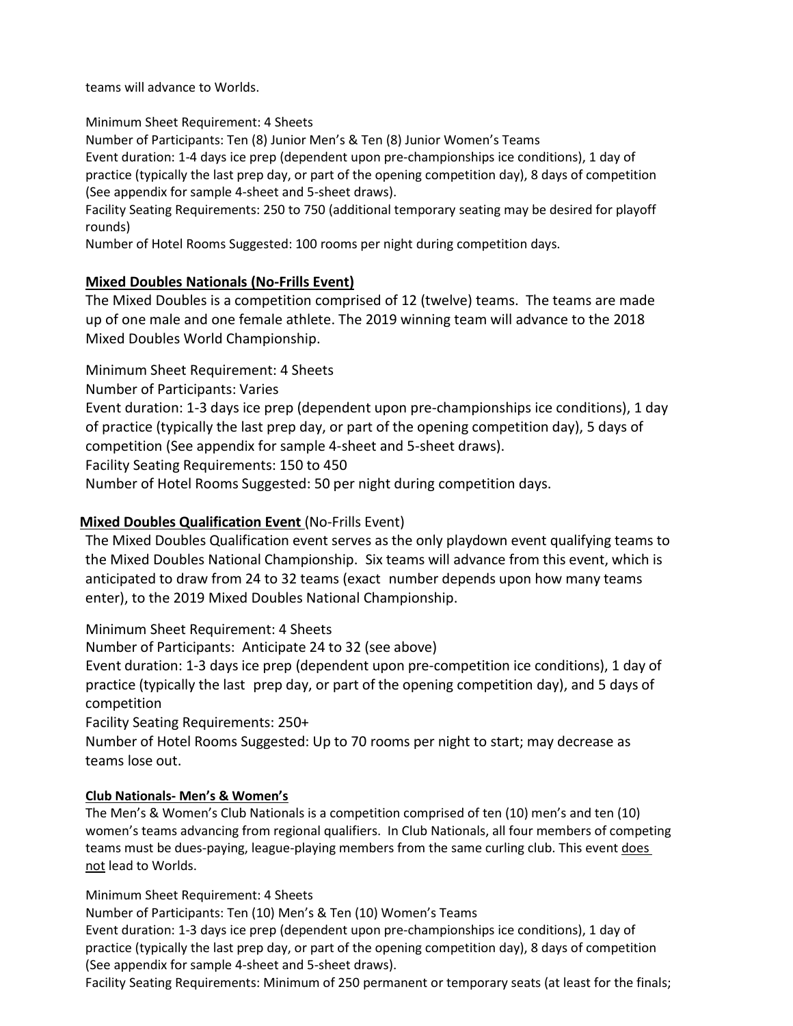teams will advance to Worlds.

#### Minimum Sheet Requirement: 4 Sheets

Number of Participants: Ten (8) Junior Men's & Ten (8) Junior Women's Teams

Event duration: 1-4 days ice prep (dependent upon pre-championships ice conditions), 1 day of practice (typically the last prep day, or part of the opening competition day), 8 days of competition (See appendix for sample 4-sheet and 5-sheet draws).

Facility Seating Requirements: 250 to 750 (additional temporary seating may be desired for playoff rounds)

Number of Hotel Rooms Suggested: 100 rooms per night during competition days.

#### **Mixed Doubles Nationals (No-Frills Event)**

The Mixed Doubles is a competition comprised of 12 (twelve) teams. The teams are made up of one male and one female athlete. The 2019 winning team will advance to the 2018 Mixed Doubles World Championship.

Minimum Sheet Requirement: 4 Sheets

Number of Participants: Varies

Event duration: 1-3 days ice prep (dependent upon pre-championships ice conditions), 1 day of practice (typically the last prep day, or part of the opening competition day), 5 days of competition (See appendix for sample 4-sheet and 5-sheet draws).

Facility Seating Requirements: 150 to 450

Number of Hotel Rooms Suggested: 50 per night during competition days.

### **Mixed Doubles Qualification Event** (No-Frills Event)

The Mixed Doubles Qualification event serves as the only playdown event qualifying teams to the Mixed Doubles National Championship. Six teams will advance from this event, which is anticipated to draw from 24 to 32 teams (exact number depends upon how many teams enter), to the 2019 Mixed Doubles National Championship.

Minimum Sheet Requirement: 4 Sheets

Number of Participants: Anticipate 24 to 32 (see above)

Event duration: 1-3 days ice prep (dependent upon pre-competition ice conditions), 1 day of practice (typically the last prep day, or part of the opening competition day), and 5 days of competition

Facility Seating Requirements: 250+

Number of Hotel Rooms Suggested: Up to 70 rooms per night to start; may decrease as teams lose out.

#### **Club Nationals- Men's & Women's**

The Men's & Women's Club Nationals is a competition comprised of ten (10) men's and ten (10) women's teams advancing from regional qualifiers. In Club Nationals, all four members of competing teams must be dues-paying, league-playing members from the same curling club. This event does not lead to Worlds.

Minimum Sheet Requirement: 4 Sheets

Number of Participants: Ten (10) Men's & Ten (10) Women's Teams Event duration: 1-3 days ice prep (dependent upon pre-championships ice conditions), 1 day of practice (typically the last prep day, or part of the opening competition day), 8 days of competition (See appendix for sample 4-sheet and 5-sheet draws).

Facility Seating Requirements: Minimum of 250 permanent or temporary seats (at least for the finals;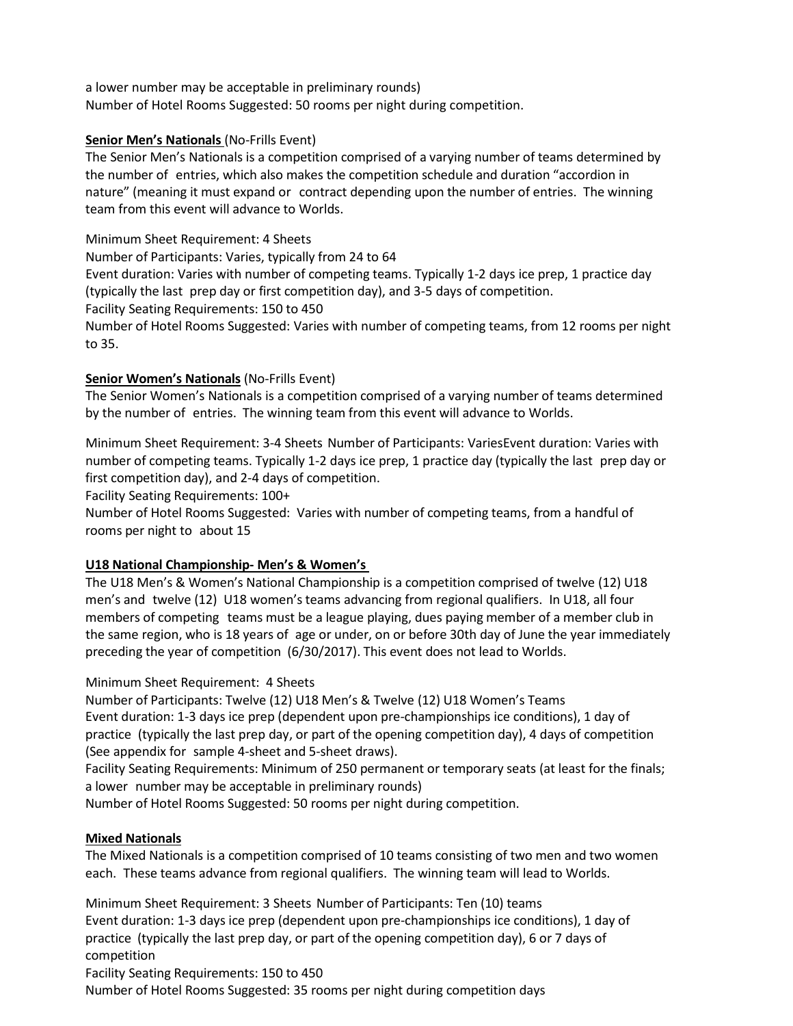a lower number may be acceptable in preliminary rounds) Number of Hotel Rooms Suggested: 50 rooms per night during competition.

#### **Senior Men's Nationals** (No-Frills Event)

The Senior Men's Nationals is a competition comprised of a varying number of teams determined by the number of entries, which also makes the competition schedule and duration "accordion in nature" (meaning it must expand or contract depending upon the number of entries. The winning team from this event will advance to Worlds.

#### Minimum Sheet Requirement: 4 Sheets

Number of Participants: Varies, typically from 24 to 64

Event duration: Varies with number of competing teams. Typically 1-2 days ice prep, 1 practice day (typically the last prep day or first competition day), and 3-5 days of competition.

Facility Seating Requirements: 150 to 450

Number of Hotel Rooms Suggested: Varies with number of competing teams, from 12 rooms per night to 35.

#### **Senior Women's Nationals** (No-Frills Event)

The Senior Women's Nationals is a competition comprised of a varying number of teams determined by the number of entries. The winning team from this event will advance to Worlds.

Minimum Sheet Requirement: 3-4 Sheets Number of Participants: VariesEvent duration: Varies with number of competing teams. Typically 1-2 days ice prep, 1 practice day (typically the last prep day or first competition day), and 2-4 days of competition.

Facility Seating Requirements: 100+

Number of Hotel Rooms Suggested: Varies with number of competing teams, from a handful of rooms per night to about 15

#### **U18 National Championship- Men's & Women's**

The U18 Men's & Women's National Championship is a competition comprised of twelve (12) U18 men's and twelve (12) U18 women's teams advancing from regional qualifiers. In U18, all four members of competing teams must be a league playing, dues paying member of a member club in the same region, who is 18 years of age or under, on or before 30th day of June the year immediately preceding the year of competition (6/30/2017). This event does not lead to Worlds.

#### Minimum Sheet Requirement: 4 Sheets

Number of Participants: Twelve (12) U18 Men's & Twelve (12) U18 Women's Teams Event duration: 1-3 days ice prep (dependent upon pre-championships ice conditions), 1 day of practice (typically the last prep day, or part of the opening competition day), 4 days of competition (See appendix for sample 4-sheet and 5-sheet draws).

Facility Seating Requirements: Minimum of 250 permanent or temporary seats (at least for the finals; a lower number may be acceptable in preliminary rounds)

Number of Hotel Rooms Suggested: 50 rooms per night during competition.

#### **Mixed Nationals**

The Mixed Nationals is a competition comprised of 10 teams consisting of two men and two women each. These teams advance from regional qualifiers. The winning team will lead to Worlds.

Minimum Sheet Requirement: 3 Sheets Number of Participants: Ten (10) teams Event duration: 1-3 days ice prep (dependent upon pre-championships ice conditions), 1 day of practice (typically the last prep day, or part of the opening competition day), 6 or 7 days of competition Facility Seating Requirements: 150 to 450

Number of Hotel Rooms Suggested: 35 rooms per night during competition days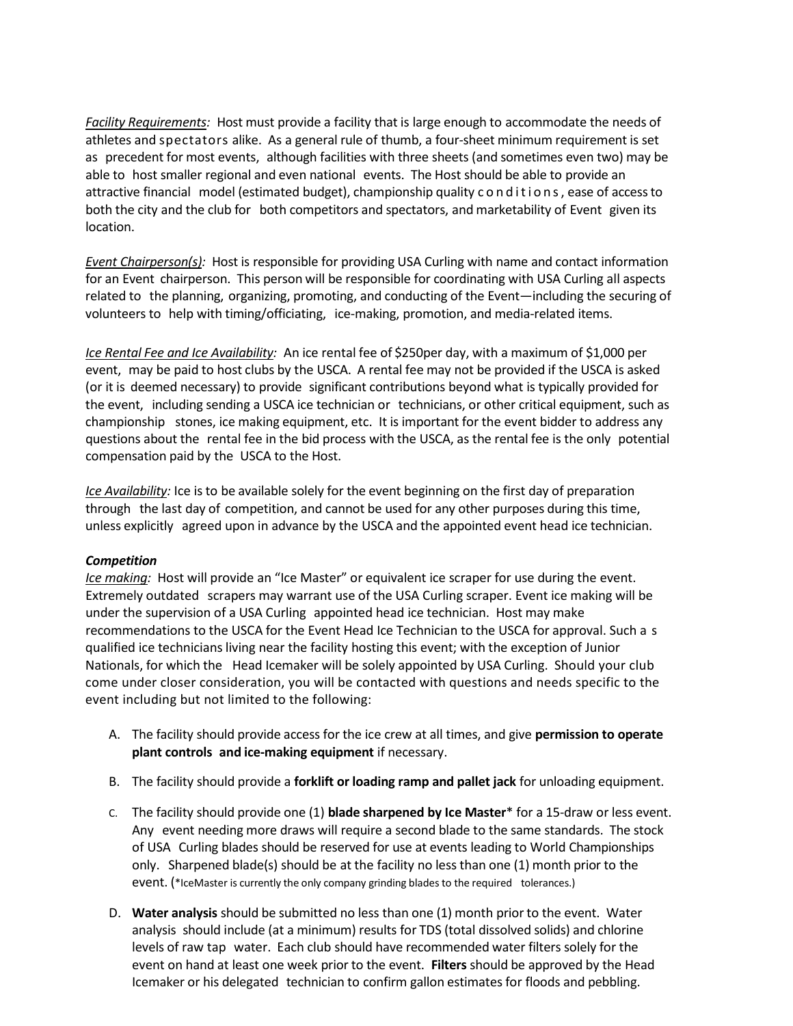*Facility Requirements:* Host must provide a facility that is large enough to accommodate the needs of athletes and spectators alike. As a general rule of thumb, a four-sheet minimum requirement is set as precedent for most events, although facilities with three sheets (and sometimes even two) may be able to host smaller regional and even national events. The Host should be able to provide an attractive financial model (estimated budget), championship quality conditions, ease of accessto both the city and the club for both competitors and spectators, and marketability of Event given its location.

*Event Chairperson(s):* Host is responsible for providing USA Curling with name and contact information for an Event chairperson. This person will be responsible for coordinating with USA Curling all aspects related to the planning, organizing, promoting, and conducting of the Event—including the securing of volunteers to help with timing/officiating, ice-making, promotion, and media-related items.

*Ice Rental Fee and Ice Availability:* An ice rental fee of \$250per day, with a maximum of \$1,000 per event, may be paid to host clubs by the USCA. A rental fee may not be provided if the USCA is asked (or it is deemed necessary) to provide significant contributions beyond what is typically provided for the event, including sending a USCA ice technician or technicians, or other critical equipment, such as championship stones, ice making equipment, etc. It is important for the event bidder to address any questions about the rental fee in the bid process with the USCA, as the rental fee is the only potential compensation paid by the USCA to the Host.

*Ice Availability:* Ice is to be available solely for the event beginning on the first day of preparation through the last day of competition, and cannot be used for any other purposes during this time, unless explicitly agreed upon in advance by the USCA and the appointed event head ice technician.

#### *Competition*

*Ice making:* Host will provide an "Ice Master" or equivalent ice scraper for use during the event. Extremely outdated scrapers may warrant use of the USA Curling scraper. Event ice making will be under the supervision of a USA Curling appointed head ice technician. Host may make recommendations to the USCA for the Event Head Ice Technician to the USCA for approval. Such a s qualified ice technicians living near the facility hosting this event; with the exception of Junior Nationals, for which the Head Icemaker will be solely appointed by USA Curling. Should your club come under closer consideration, you will be contacted with questions and needs specific to the event including but not limited to the following:

- A. The facility should provide access for the ice crew at all times, and give **permission to operate plant controls and ice-making equipment** if necessary.
- B. The facility should provide a **forklift or loading ramp and pallet jack** for unloading equipment.
- C. The facility should provide one (1) **blade sharpened by Ice Master**\* for a 15-draw or less event. Any event needing more draws will require a second blade to the same standards. The stock of USA Curling blades should be reserved for use at events leading to World Championships only. Sharpened blade(s) should be at the facility no less than one (1) month prior to the event. (\*IceMaster is currently the only company grinding blades to the required tolerances.)
- D. **Water analysis** should be submitted no less than one (1) month prior to the event. Water analysis should include (at a minimum) results for TDS (total dissolved solids) and chlorine levels of raw tap water. Each club should have recommended water filters solely for the event on hand at least one week prior to the event. **Filters** should be approved by the Head Icemaker or his delegated technician to confirm gallon estimates for floods and pebbling.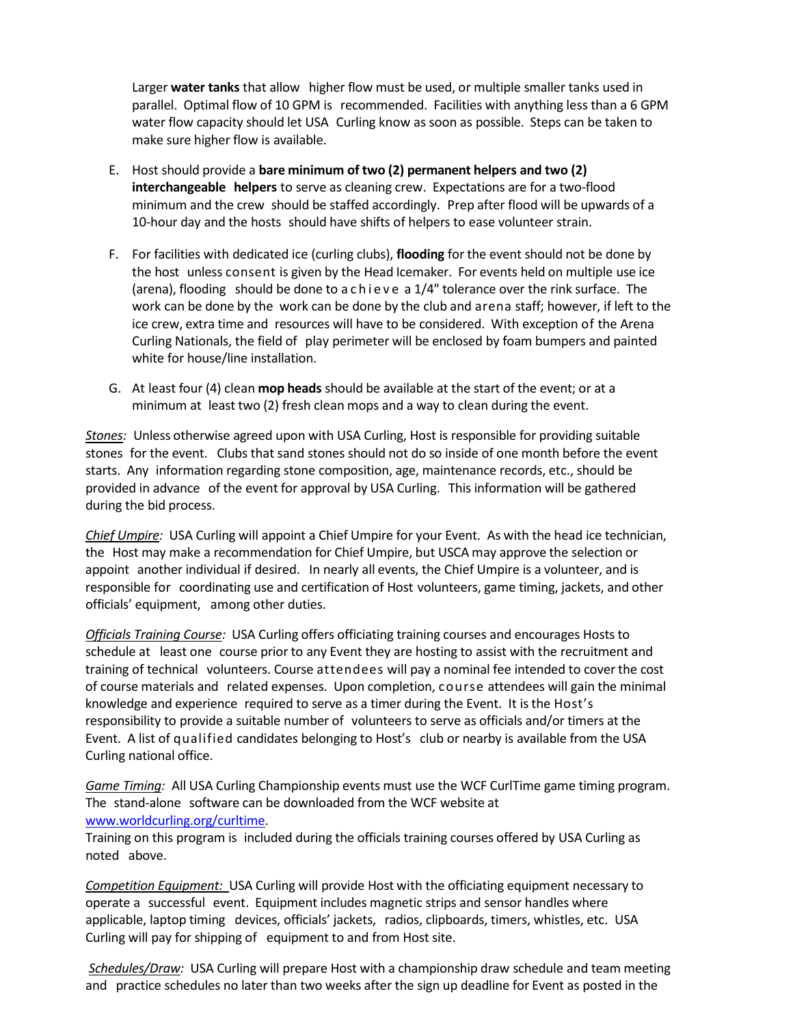Larger **water tanks** that allow higher flow must be used, or multiple smaller tanks used in parallel. Optimal flow of 10 GPM is recommended. Facilities with anything less than a 6 GPM water flow capacity should let USA Curling know as soon as possible. Steps can be taken to make sure higher flow is available.

- E. Host should provide a **bare minimum of two (2) permanent helpers and two (2) interchangeable helpers** to serve as cleaning crew. Expectations are for a two-flood minimum and the crew should be staffed accordingly. Prep after flood will be upwards of a 10-hour day and the hosts should have shifts of helpers to ease volunteer strain.
- F. For facilities with dedicated ice (curling clubs), **flooding** for the event should not be done by the host unless consent is given by the Head Icemaker. For events held on multiple use ice (arena), flooding should be done to achieve a 1/4" tolerance over the rink surface. The work can be done by the work can be done by the club and arena staff; however, if left to the ice crew, extra time and resources will have to be considered. With exception of the Arena Curling Nationals, the field of play perimeter will be enclosed by foam bumpers and painted white for house/line installation.
- G. At least four (4) clean **mop heads** should be available at the start of the event; or at a minimum at least two (2) fresh clean mops and a way to clean during the event.

*Stones:* Unless otherwise agreed upon with USA Curling, Host is responsible for providing suitable stones for the event. Clubs that sand stones should not do so inside of one month before the event starts. Any information regarding stone composition, age, maintenance records, etc., should be provided in advance of the event for approval by USA Curling. This information will be gathered during the bid process.

*Chief Umpire:* USA Curling will appoint a Chief Umpire for your Event. As with the head ice technician, the Host may make a recommendation for Chief Umpire, but USCA may approve the selection or appoint another individual if desired. In nearly all events, the Chief Umpire is a volunteer, and is responsible for coordinating use and certification of Host volunteers, game timing, jackets, and other officials' equipment, among other duties.

*Officials Training Course:* USA Curling offers officiating training courses and encourages Hosts to schedule at least one course prior to any Event they are hosting to assist with the recruitment and training of technical volunteers. Course attendees will pay a nominal fee intended to cover the cost of course materials and related expenses. Upon completion, course attendees will gain the minimal knowledge and experience required to serve as a timer during the Event. It isthe Host's responsibility to provide a suitable number of volunteers to serve as officials and/or timers at the Event. A list of qualified candidates belonging to Host's club or nearby is available from the USA Curling national office.

*Game Timing:* All USA Curling Championship events must use the WCF CurlTime game timing program. The stand-alone software can be downloaded from the WCF website at [www.worldcurling.org/curltime.](http://www.worldcurling.org/curltime)

Training on this program is included during the officials training courses offered by USA Curling as noted above.

*Competition Equipment:* USA Curling will provide Host with the officiating equipment necessary to operate a successful event. Equipment includes magnetic strips and sensor handles where applicable, laptop timing devices, officials' jackets, radios, clipboards, timers, whistles, etc. USA Curling will pay for shipping of equipment to and from Host site.

*Schedules/Draw:* USA Curling will prepare Host with a championship draw schedule and team meeting and practice schedules no later than two weeks after the sign up deadline for Event as posted in the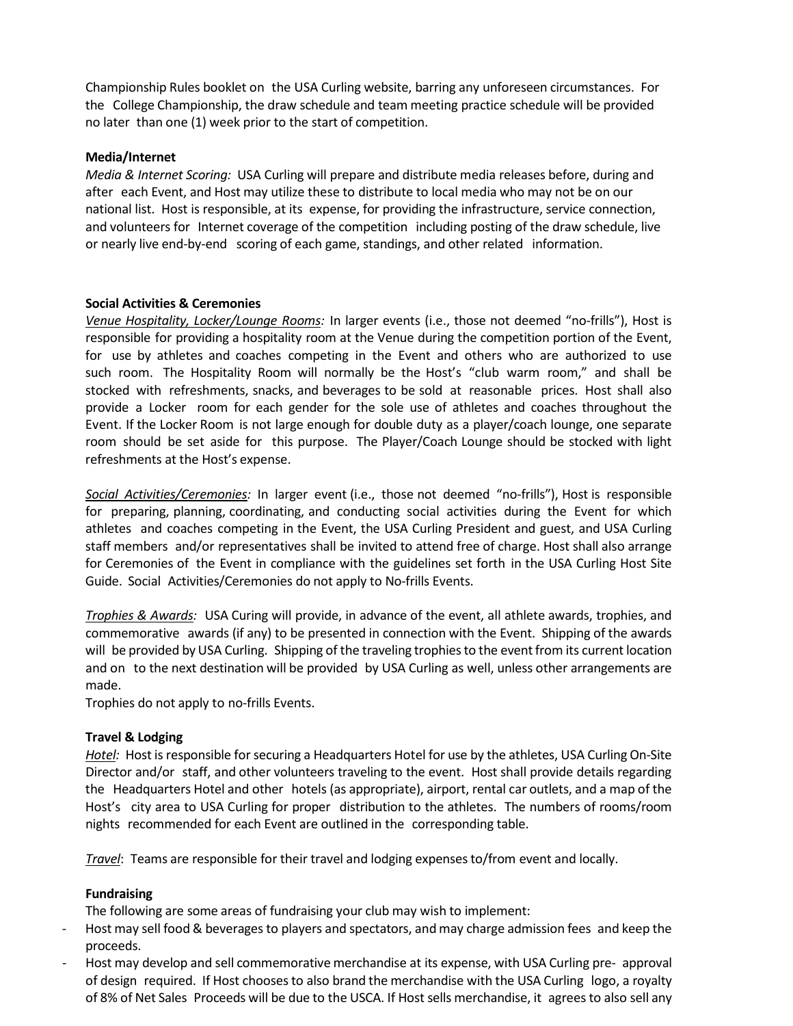Championship Rules booklet on the USA Curling website, barring any unforeseen circumstances. For the College Championship, the draw schedule and team meeting practice schedule will be provided no later than one (1) week prior to the start of competition.

#### **Media/Internet**

*Media & Internet Scoring:* USA Curling will prepare and distribute media releases before, during and after each Event, and Host may utilize these to distribute to local media who may not be on our national list. Host is responsible, at its expense, for providing the infrastructure, service connection, and volunteers for Internet coverage of the competition including posting of the draw schedule, live or nearly live end-by-end scoring of each game, standings, and other related information.

#### **Social Activities & Ceremonies**

*Venue Hospitality, Locker/Lounge Rooms:* In larger events (i.e., those not deemed "no-frills"), Host is responsible for providing a hospitality room at the Venue during the competition portion of the Event, for use by athletes and coaches competing in the Event and others who are authorized to use such room. The Hospitality Room will normally be the Host's "club warm room," and shall be stocked with refreshments, snacks, and beverages to be sold at reasonable prices. Host shall also provide a Locker room for each gender for the sole use of athletes and coaches throughout the Event. If the Locker Room is not large enough for double duty as a player/coach lounge, one separate room should be set aside for this purpose. The Player/Coach Lounge should be stocked with light refreshments at the Host's expense.

*Social Activities/Ceremonies:* In larger event (i.e., those not deemed "no-frills"), Host is responsible for preparing, planning, coordinating, and conducting social activities during the Event for which athletes and coaches competing in the Event, the USA Curling President and guest, and USA Curling staff members and/or representatives shall be invited to attend free of charge. Host shall also arrange for Ceremonies of the Event in compliance with the guidelines set forth in the USA Curling Host Site Guide. Social Activities/Ceremonies do not apply to No-frills Events.

*Trophies & Awards:* USA Curing will provide, in advance of the event, all athlete awards, trophies, and commemorative awards (if any) to be presented in connection with the Event. Shipping of the awards will be provided by USA Curling. Shipping of the traveling trophies to the event from its current location and on to the next destination will be provided by USA Curling as well, unless other arrangements are made.

Trophies do not apply to no-frills Events.

#### **Travel & Lodging**

Hotel: Host is responsible for securing a Headquarters Hotel for use by the athletes, USA Curling On-Site Director and/or staff, and other volunteers traveling to the event. Host shall provide details regarding the Headquarters Hotel and other hotels (as appropriate), airport, rental car outlets, and a map of the Host's city area to USA Curling for proper distribution to the athletes. The numbers of rooms/room nights recommended for each Event are outlined in the corresponding table.

*Travel*: Teams are responsible for their travel and lodging expensesto/from event and locally.

#### **Fundraising**

The following are some areas of fundraising your club may wish to implement:

- Host may sell food & beverages to players and spectators, and may charge admission fees and keep the proceeds.
- Host may develop and sell commemorative merchandise at its expense, with USA Curling pre- approval of design required. If Host choosesto also brand the merchandise with the USA Curling logo, a royalty of 8% of Net Sales Proceeds will be due to the USCA. If Host sells merchandise, it agrees to also sell any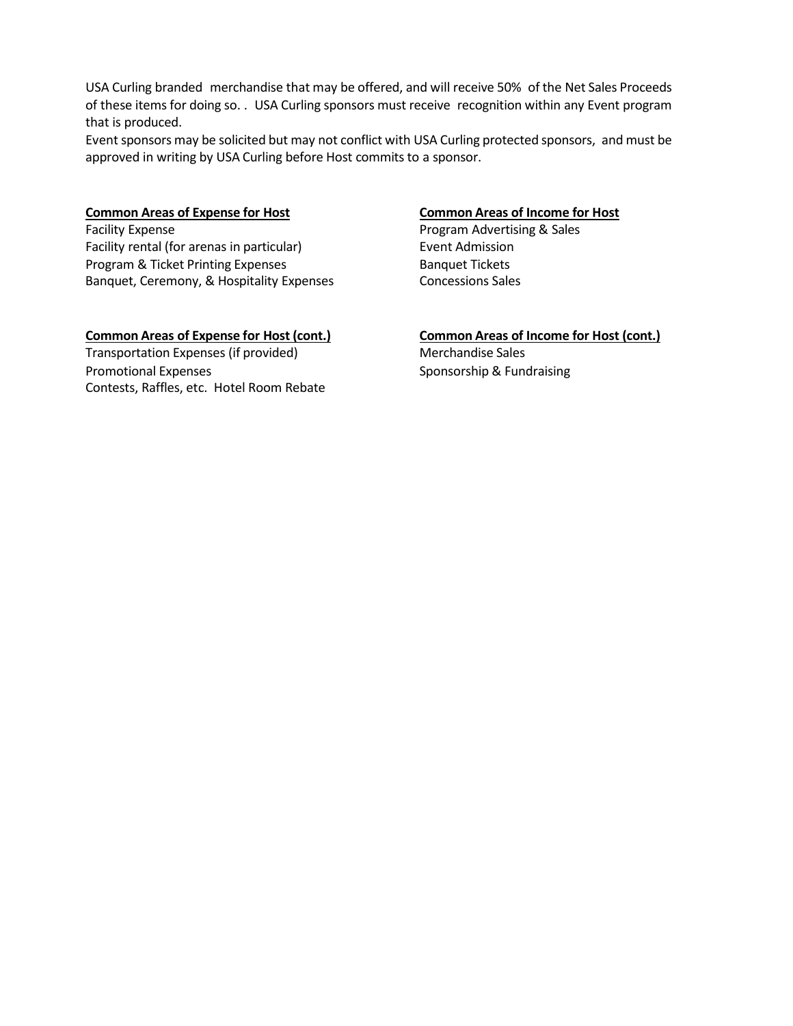USA Curling branded merchandise that may be offered, and will receive 50% of the Net Sales Proceeds of these items for doing so. . USA Curling sponsors must receive recognition within any Event program that is produced.

Event sponsors may be solicited but may not conflict with USA Curling protected sponsors, and must be approved in writing by USA Curling before Host commits to a sponsor.

Facility rental (for arenas in particular) Event Admission Program & Ticket Printing Expenses Banquet Tickets Banquet, Ceremony, & Hospitality Expenses Concessions Sales

#### **Common Areas of Expense for Host (cont.) Common Areas of Income for Host (cont.)**

Transportation Expenses (if provided) Merchandise Sales Promotional Expenses Sponsorship & Fundraising Contests, Raffles, etc. Hotel Room Rebate

#### **Common Areas of Expense for Host Common Areas of Income for Host**

Facility Expense **Program Advertising & Sales**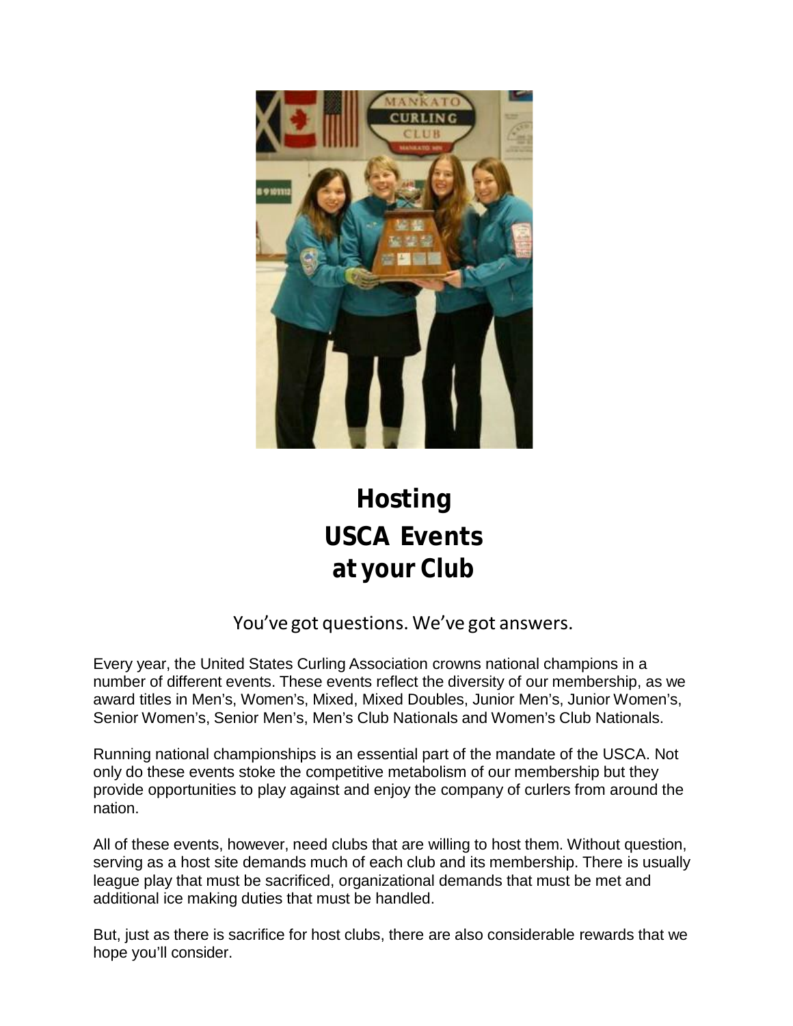

# **Hosting USCA Events at your Club**

You've got questions. We've got answers.

Every year, the United States Curling Association crowns national champions in a number of different events. These events reflect the diversity of our membership, as we award titles in Men's, Women's, Mixed, Mixed Doubles, Junior Men's, Junior Women's, Senior Women's, Senior Men's, Men's Club Nationals and Women's Club Nationals.

Running national championships is an essential part of the mandate of the USCA. Not only do these events stoke the competitive metabolism of our membership but they provide opportunities to play against and enjoy the company of curlers from around the nation.

All of these events, however, need clubs that are willing to host them. Without question, serving as a host site demands much of each club and its membership. There is usually league play that must be sacrificed, organizational demands that must be met and additional ice making duties that must be handled.

But, just as there is sacrifice for host clubs, there are also considerable rewards that we hope you'll consider.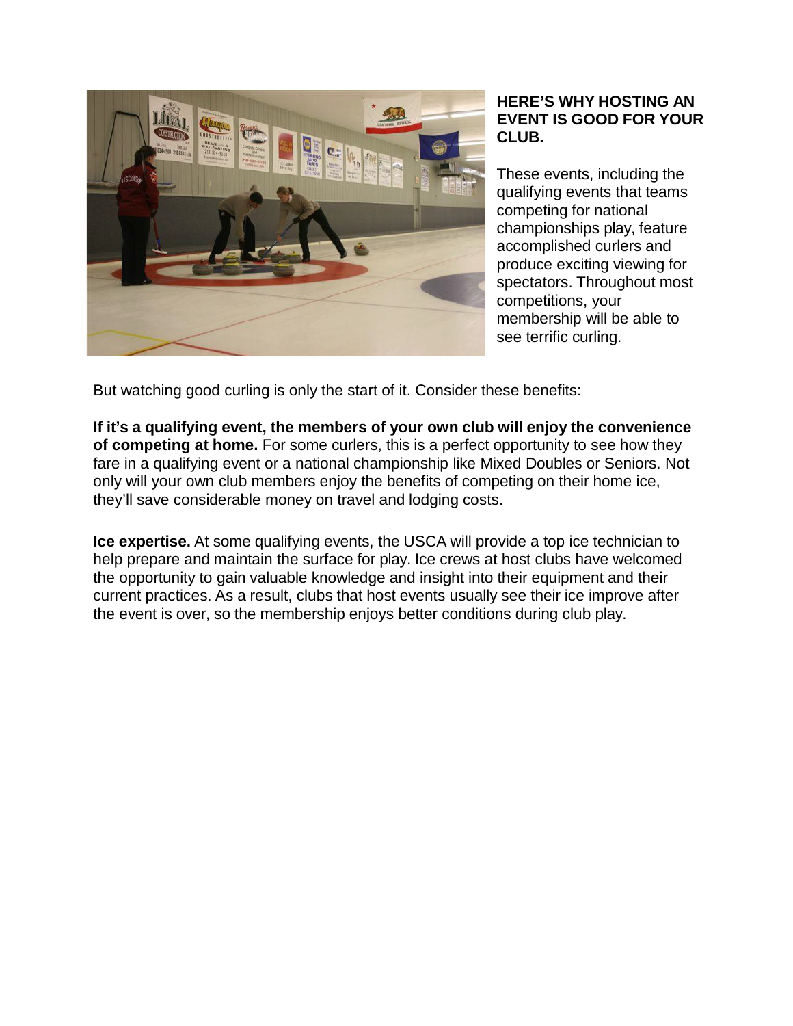

### **HERE'S WHY HOSTING AN EVENT IS GOOD FOR YOUR CLUB.**

These events, including the qualifying events that teams competing for national championships play, feature accomplished curlers and produce exciting viewing for spectators. Throughout most competitions, your membership will be able to see terrific curling.

But watching good curling is only the start of it. Consider these benefits:

**If it's a qualifying event, the members of your own club will enjoy the convenience of competing at home.** For some curlers, this is a perfect opportunity to see how they fare in a qualifying event or a national championship like Mixed Doubles or Seniors. Not only will your own club members enjoy the benefits of competing on their home ice, they'll save considerable money on travel and lodging costs.

**Ice expertise.** At some qualifying events, the USCA will provide a top ice technician to help prepare and maintain the surface for play. Ice crews at host clubs have welcomed the opportunity to gain valuable knowledge and insight into their equipment and their current practices. As a result, clubs that host events usually see their ice improve after the event is over, so the membership enjoys better conditions during club play.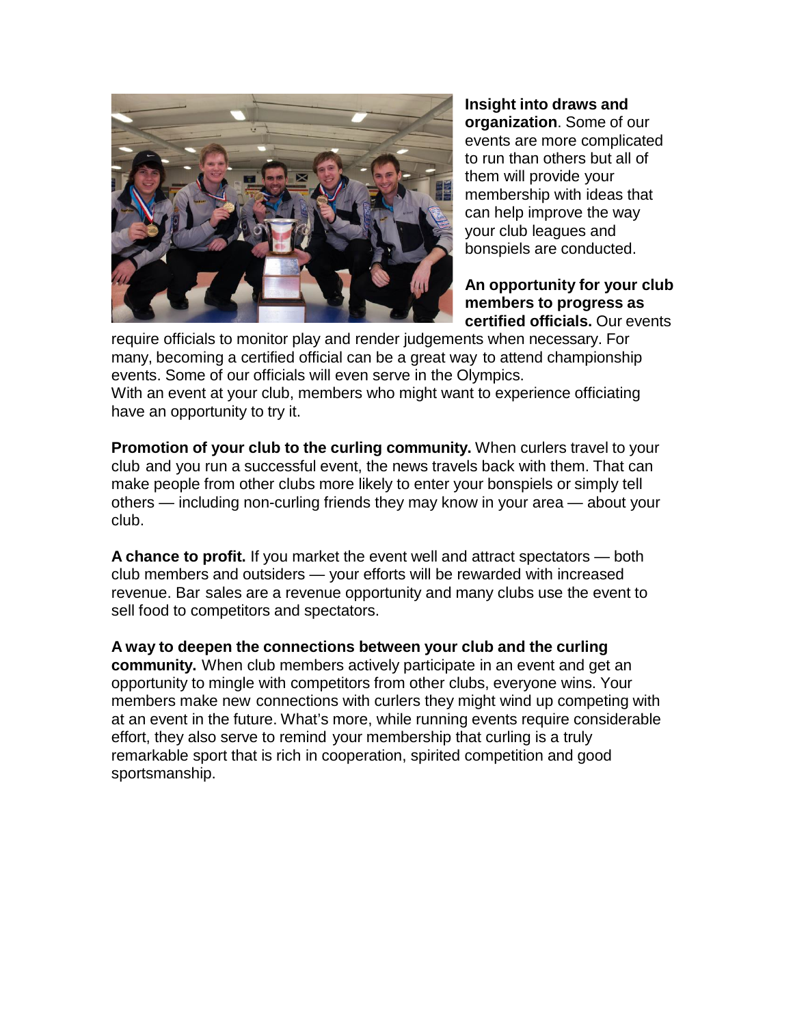

**Insight into draws and organization**. Some of our events are more complicated to run than others but all of them will provide your membership with ideas that can help improve the way your club leagues and bonspiels are conducted.

**An opportunity for your club members to progress as certified officials.** Our events

require officials to monitor play and render judgements when necessary. For many, becoming a certified official can be a great way to attend championship events. Some of our officials will even serve in the Olympics. With an event at your club, members who might want to experience officiating have an opportunity to try it.

**Promotion of your club to the curling community.** When curlers travel to your club and you run a successful event, the news travels back with them. That can make people from other clubs more likely to enter your bonspiels or simply tell others — including non-curling friends they may know in your area — about your club.

**A chance to profit.** If you market the event well and attract spectators — both club members and outsiders — your efforts will be rewarded with increased revenue. Bar sales are a revenue opportunity and many clubs use the event to sell food to competitors and spectators.

**A way to deepen the connections between your club and the curling community.** When club members actively participate in an event and get an opportunity to mingle with competitors from other clubs, everyone wins. Your members make new connections with curlers they might wind up competing with at an event in the future. What's more, while running events require considerable effort, they also serve to remind your membership that curling is a truly remarkable sport that is rich in cooperation, spirited competition and good sportsmanship.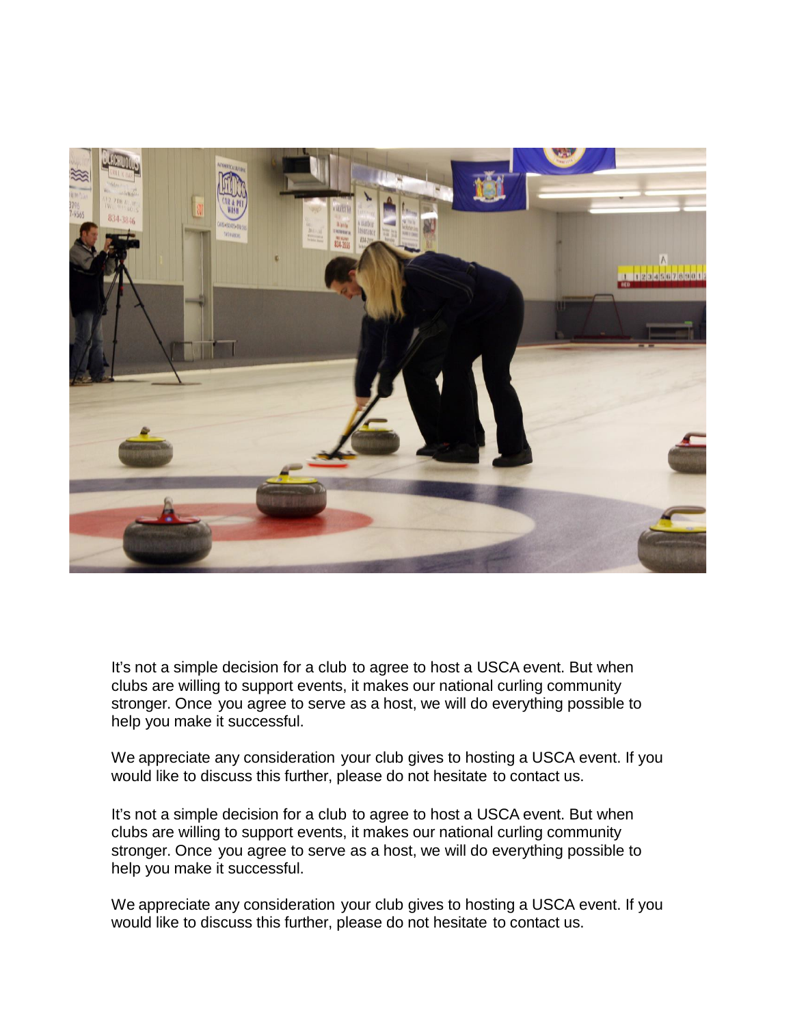

It's not a simple decision for a club to agree to host a USCA event. But when clubs are willing to support events, it makes our national curling community stronger. Once you agree to serve as a host, we will do everything possible to help you make it successful.

We appreciate any consideration your club gives to hosting a USCA event. If you would like to discuss this further, please do not hesitate to contact us.

It's not a simple decision for a club to agree to host a USCA event. But when clubs are willing to support events, it makes our national curling community stronger. Once you agree to serve as a host, we will do everything possible to help you make it successful.

We appreciate any consideration your club gives to hosting a USCA event. If you would like to discuss this further, please do not hesitate to contact us.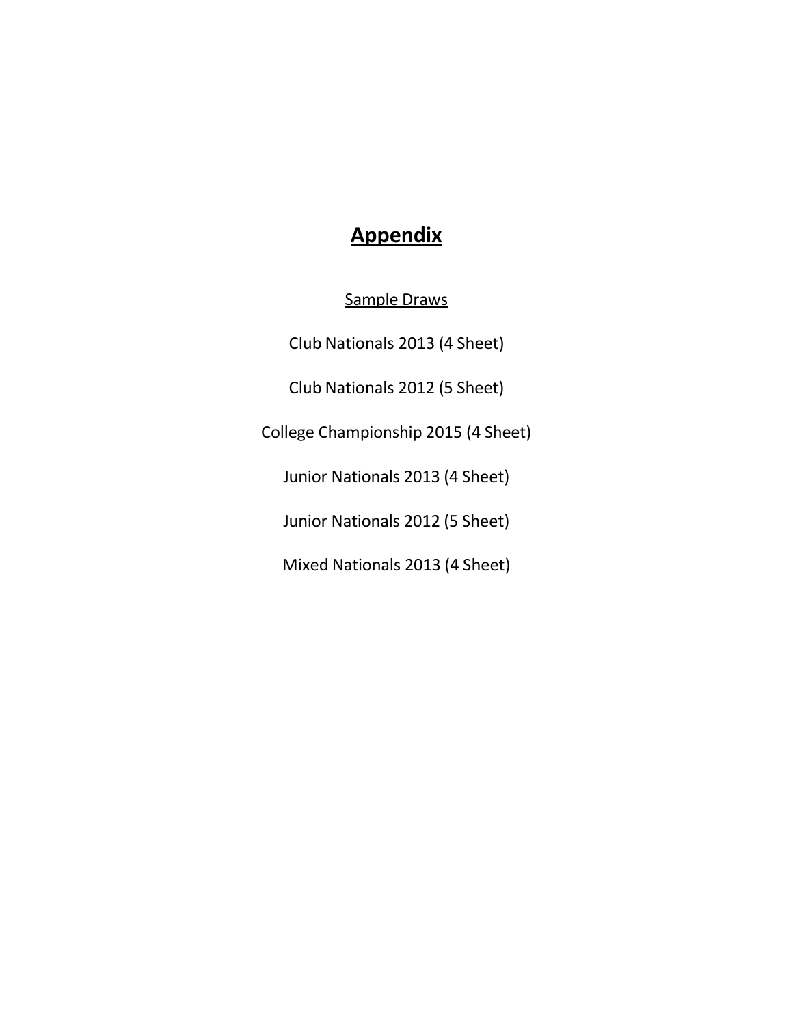# **Appendix**

Sample Draws

Club Nationals 2013 (4 Sheet)

Club Nationals 2012 (5 Sheet)

College Championship 2015 (4 Sheet)

Junior Nationals 2013 (4 Sheet)

Junior Nationals 2012 (5 Sheet)

Mixed Nationals 2013 (4 Sheet)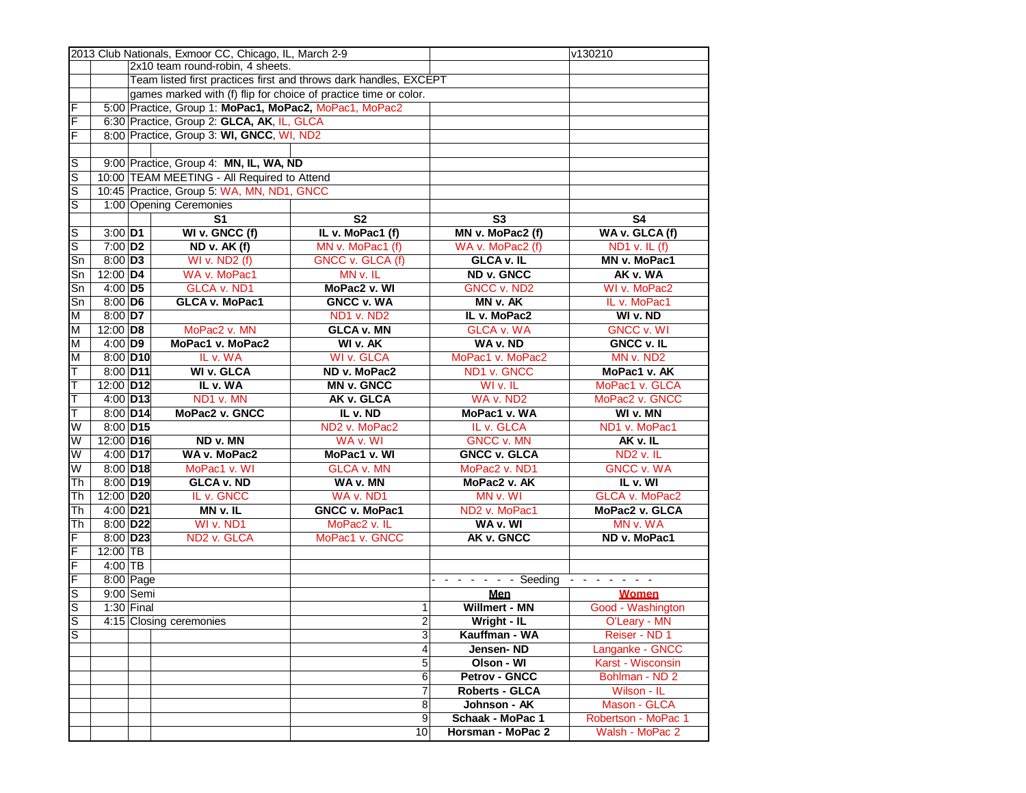|    |                       |                                                                   | 2013 Club Nationals, Exmoor CC, Chicago, IL, March 2-9           |                   |                   |                           | v130210                                                                                                                                                                                                                                                                                                      |
|----|-----------------------|-------------------------------------------------------------------|------------------------------------------------------------------|-------------------|-------------------|---------------------------|--------------------------------------------------------------------------------------------------------------------------------------------------------------------------------------------------------------------------------------------------------------------------------------------------------------|
|    |                       |                                                                   | 2x10 team round-robin, 4 sheets.                                 |                   |                   |                           |                                                                                                                                                                                                                                                                                                              |
|    |                       | Team listed first practices first and throws dark handles, EXCEPT |                                                                  |                   |                   |                           |                                                                                                                                                                                                                                                                                                              |
|    |                       |                                                                   | games marked with (f) flip for choice of practice time or color. |                   |                   |                           |                                                                                                                                                                                                                                                                                                              |
| F  |                       |                                                                   | 5:00 Practice, Group 1: MoPac1, MoPac2, MoPac1, MoPac2           |                   |                   |                           |                                                                                                                                                                                                                                                                                                              |
| F  |                       |                                                                   | 6:30 Practice, Group 2: GLCA, AK, IL, GLCA                       |                   |                   |                           |                                                                                                                                                                                                                                                                                                              |
| F  |                       |                                                                   | 8:00 Practice, Group 3: WI, GNCC, WI, ND2                        |                   |                   |                           |                                                                                                                                                                                                                                                                                                              |
|    |                       |                                                                   |                                                                  |                   |                   |                           |                                                                                                                                                                                                                                                                                                              |
| lS |                       |                                                                   | 9:00 Practice, Group 4: MN, IL, WA, ND                           |                   |                   |                           |                                                                                                                                                                                                                                                                                                              |
| S  |                       |                                                                   | 10:00 TEAM MEETING - All Required to Attend                      |                   |                   |                           |                                                                                                                                                                                                                                                                                                              |
|    |                       |                                                                   | 10:45 Practice, Group 5: WA, MN, ND1, GNCC                       |                   |                   |                           |                                                                                                                                                                                                                                                                                                              |
| S  |                       |                                                                   |                                                                  |                   |                   |                           |                                                                                                                                                                                                                                                                                                              |
| S  |                       |                                                                   | 1:00 Opening Ceremonies                                          |                   |                   |                           |                                                                                                                                                                                                                                                                                                              |
|    |                       | S <sub>1</sub><br>S <sub>2</sub>                                  |                                                                  |                   | S <sub>3</sub>    | S <sub>4</sub>            |                                                                                                                                                                                                                                                                                                              |
| lS | $3:00$ D1             |                                                                   | WI v. GNCC (f)                                                   | IL v. MoPac1 (f)  |                   | MN v. MoPac2 (f)          | WA v. GLCA (f)                                                                                                                                                                                                                                                                                               |
| S  | $7:00$ D <sub>2</sub> |                                                                   | ND v. AK (f)                                                     | MN v. MoPac1 (f)  |                   | WA v. MoPac2 (f)          | ND1 v. IL (f)                                                                                                                                                                                                                                                                                                |
| Sn | $8:00$ D <sub>3</sub> |                                                                   | <b>WI v. ND2 (f)</b>                                             | GNCC v. GLCA (f)  |                   | <b>GLCA v. IL</b>         | MN v. MoPac1                                                                                                                                                                                                                                                                                                 |
| Sn | 12:00 D4              |                                                                   | WA v. MoPac1                                                     | MN v. IL          |                   | ND v. GNCC                | AK v. WA                                                                                                                                                                                                                                                                                                     |
| Sn | $4:00$ D5             |                                                                   | <b>GLCA v. ND1</b>                                               | MoPac2 v. WI      |                   | <b>GNCC v. ND2</b>        | WI v. MoPac2                                                                                                                                                                                                                                                                                                 |
| Sn | $8:00$ D6             |                                                                   | <b>GLCA v. MoPac1</b>                                            | <b>GNCC v. WA</b> |                   | MN v. AK                  | IL v. MoPac1                                                                                                                                                                                                                                                                                                 |
| M  | 8:00 D7               |                                                                   |                                                                  | ND1 v. ND2        |                   | IL v. MoPac2              | WI v. ND                                                                                                                                                                                                                                                                                                     |
| M  | 12:00 D8              | MoPac2 v. MN<br><b>GLCA v. MN</b>                                 |                                                                  |                   | <b>GLCA v. WA</b> | <b>GNCC v. WI</b>         |                                                                                                                                                                                                                                                                                                              |
| M  | $4:00$ D9             |                                                                   | MoPac1 v. MoPac2                                                 | WI v. AK          |                   | WA v. ND                  | <b>GNCC v. IL</b>                                                                                                                                                                                                                                                                                            |
| M  | 8:00 D10              |                                                                   | IL v. WA                                                         | <b>WI v. GLCA</b> |                   | MoPac1 v. MoPac2          | MN v. ND2                                                                                                                                                                                                                                                                                                    |
| T  | 8:00 D11              |                                                                   | <b>WI v. GLCA</b>                                                | ND v. MoPac2      |                   | ND1 v. GNCC               | MoPac1 v. AK                                                                                                                                                                                                                                                                                                 |
| T  | 12:00 D12             |                                                                   | IL v. WA                                                         | <b>MN v. GNCC</b> |                   | WI v. IL                  | MoPac1 v. GLCA                                                                                                                                                                                                                                                                                               |
| T  | 4:00 D13              |                                                                   | ND1 v. MN                                                        | AK v. GLCA        |                   | WA v. ND2                 | MoPac2 v. GNCC                                                                                                                                                                                                                                                                                               |
| т  | 8:00 D14              |                                                                   | MoPac2 v. GNCC                                                   | IL v. ND          |                   | MoPac1 v. WA              | WI v. MN                                                                                                                                                                                                                                                                                                     |
| W  | 8:00 D15              |                                                                   |                                                                  | ND2 v. MoPac2     |                   | IL v. GLCA                | ND1 v. MoPac1                                                                                                                                                                                                                                                                                                |
| W  | 12:00 D16             |                                                                   | ND v. MN                                                         | WA v. WI          |                   | <b>GNCC v. MN</b>         | AK v. IL                                                                                                                                                                                                                                                                                                     |
| W  | 4:00 D17              |                                                                   | WA v. MoPac2                                                     | MoPac1 v. WI      |                   | <b>GNCC v. GLCA</b>       | ND <sub>2</sub> v. IL                                                                                                                                                                                                                                                                                        |
| W  | 8:00 D18              |                                                                   | MoPac1 v. WI                                                     | GLCA v. MN        |                   | MoPac2 v. ND1             | <b>GNCC v. WA</b>                                                                                                                                                                                                                                                                                            |
| Th | 8:00 D19              |                                                                   | <b>GLCA v. ND</b>                                                | WA v. MN          |                   | MoPac2 v. AK              | IL v. WI                                                                                                                                                                                                                                                                                                     |
| Th | 12:00 D20             |                                                                   | IL v. GNCC                                                       | WA v. ND1         |                   | MN v. WI                  | GLCA v. MoPac2                                                                                                                                                                                                                                                                                               |
| Th | 4:00 D21              |                                                                   | MN v. IL                                                         | GNCC v. MoPac1    |                   | ND <sub>2</sub> v. MoPac1 | MoPac2 v. GLCA                                                                                                                                                                                                                                                                                               |
| Th | 8:00 D22              |                                                                   | WI v. ND1                                                        | MoPac2 v. IL      |                   | WA v. WI                  | MN v. WA                                                                                                                                                                                                                                                                                                     |
| F  | 8:00 D23              |                                                                   | ND <sub>2</sub> v. GLCA                                          | MoPac1 v. GNCC    |                   | AK v. GNCC                | ND v. MoPac1                                                                                                                                                                                                                                                                                                 |
| F  | $12:00$ TB            |                                                                   |                                                                  |                   |                   |                           |                                                                                                                                                                                                                                                                                                              |
| F  | $4:00$ TB             |                                                                   |                                                                  |                   |                   |                           |                                                                                                                                                                                                                                                                                                              |
| F  |                       | 8:00 Page                                                         |                                                                  |                   |                   | - - Seeding               | $\frac{1}{2} \left( \frac{1}{2} \right) \left( \frac{1}{2} \right) \left( \frac{1}{2} \right) \left( \frac{1}{2} \right) \left( \frac{1}{2} \right) \left( \frac{1}{2} \right)$<br>$\frac{1}{2} \left( \frac{1}{2} \right) \left( \frac{1}{2} \right) \left( \frac{1}{2} \right) \left( \frac{1}{2} \right)$ |
| S  |                       | $9:00$ Semi                                                       |                                                                  |                   |                   | Men                       | <b>Women</b>                                                                                                                                                                                                                                                                                                 |
| S  |                       | $1:30$ Final                                                      |                                                                  |                   | 1                 | Willmert - MN             | Good - Washington                                                                                                                                                                                                                                                                                            |
| ls |                       |                                                                   | 4:15 Closing ceremonies                                          |                   | $\overline{a}$    | Wright - IL               | O'Leary - MN                                                                                                                                                                                                                                                                                                 |
| lS |                       |                                                                   |                                                                  |                   | 3                 | Kauffman - WA             | Reiser - ND 1                                                                                                                                                                                                                                                                                                |
|    |                       |                                                                   |                                                                  |                   |                   |                           |                                                                                                                                                                                                                                                                                                              |
|    |                       |                                                                   |                                                                  |                   | 4<br>5            | Jensen-ND<br>Olson - WI   | Langanke - GNCC<br>Karst - Wisconsin                                                                                                                                                                                                                                                                         |
|    |                       |                                                                   |                                                                  |                   |                   |                           |                                                                                                                                                                                                                                                                                                              |
|    |                       |                                                                   |                                                                  |                   | $\overline{6}$    | <b>Petrov - GNCC</b>      | Bohlman - ND 2                                                                                                                                                                                                                                                                                               |
|    |                       |                                                                   |                                                                  |                   | $\boldsymbol{7}$  | <b>Roberts - GLCA</b>     | Wilson - IL                                                                                                                                                                                                                                                                                                  |
|    |                       |                                                                   |                                                                  |                   | 8                 | Johnson - AK              | Mason - GLCA                                                                                                                                                                                                                                                                                                 |
|    |                       |                                                                   |                                                                  |                   | 9                 | Schaak - MoPac 1          | Robertson - MoPac 1                                                                                                                                                                                                                                                                                          |
|    |                       | 10                                                                |                                                                  | Horsman - MoPac 2 | Walsh - MoPac 2   |                           |                                                                                                                                                                                                                                                                                                              |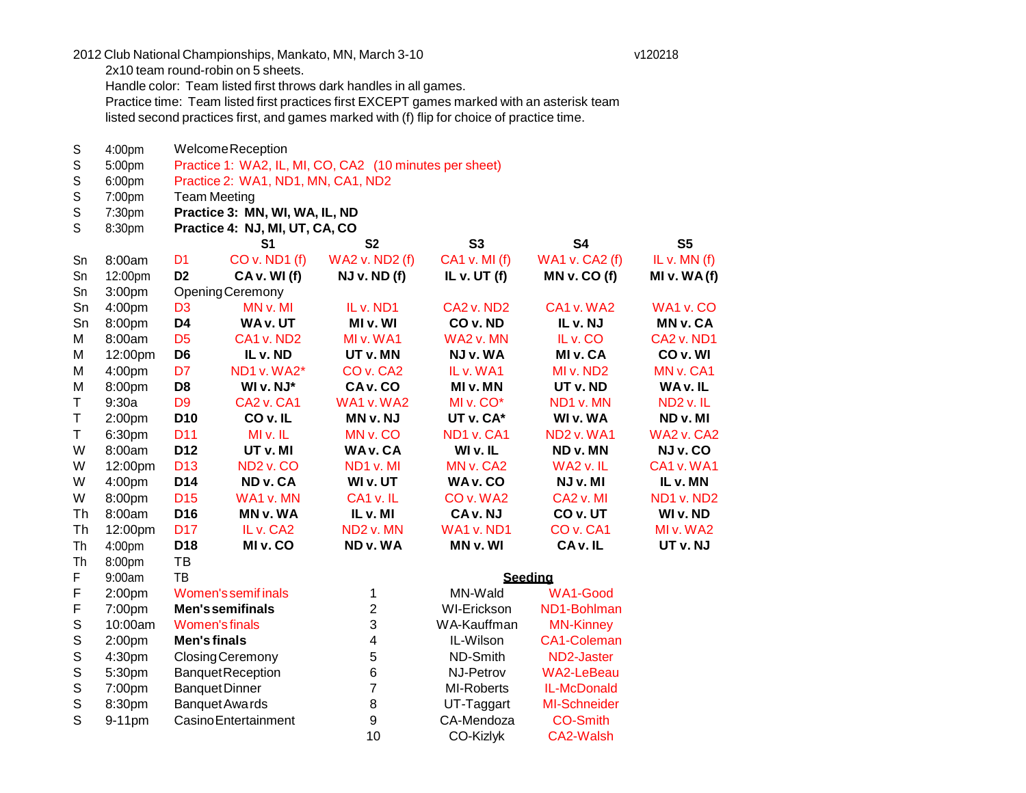2012 Club National Championships, Mankato, MN, March 3-10 v120218

2x10 team round-robin on 5 sheets.

Handle color: Team listed first throws dark handles in all games.

Practice time: Team listed first practices first EXCEPT games marked with an asterisk team listed second practices first, and games marked with (f) flip for choice of practice time.

S S S S S S 4:00pm 5:00pm 6:00pm 7:00pm 7:30pm 8:30pm WelcomeReception Practice 1: WA2, IL, MI, CO, CA2 (10 minutes per sheet) Practice 2: WA1, ND1, MN, CA1, ND2 Team Meeting **Practice 3: MN, WI, WA, IL, ND Practice 4: NJ, MI, UT, CA, CO S1 S2 S3 S4 S5** Sn Sn Sn 8:00am 12:00pm 3:00pm D1 CO v. ND1 (f) WA2 v. ND2 (f) CA1 v. MI (f) **D2 CA v. WI (f) NJ v. ND (f) IL v. UT (f)** OpeningCeremony WA1 v. CA2 (f) **MN v. CO (f)** IL v. MN (f) **MI v. WA (f)** Sn 4:00pm D3 MN v. MI IL v. ND1 CA2 v. ND2 CA1 v. WA2 WA1 v. CO Sn 8:00pm **D4 WA v. UT MI v. WI CO v. ND IL v. NJ MN v. CA** M 8:00am D5 CA1 v. ND2 MI v. WA1 WA2 v. MN IL v. CO CA2 v. ND1 M 12:00pm **D6 IL v. ND UT v. MN NJ v. WA MI v. CA CO v. WI** M 4:00pm D7 ND1 v. WA2\* CO v. CA2 IL v. WA1 MI v. ND2 MN v. CA1 M 8:00pm **D8 WI v. NJ\* CA v. CO MI v. MN UT v. ND WA v. IL** T 9:30a D9 CA2 v. CA1 WA1 v. WA2 MI v. CO\* ND1 v. MN ND2 v. IL T 2:00pm **D10 CO v. IL MN v. NJ UT v. CA\* WI v. WA ND v. MI** T 6:30pm D11 MI v. IL MN v. CO ND1 v. CA1 ND2 v. WA1 WA2 v. CA2 W 8:00am **D12 UT v. MI WA v. CA WI v. IL ND v. MN NJ v. CO** W 12:00pm D13 ND2 v. CO ND1 v. MI MN v. CA2 WA2 v. IL CA1 v. WA1 W 4:00pm **D14 ND v. CA WI v. UT WA v. CO NJ v. MI IL v. MN** W 8:00pm D15 WA1 v. MN CA1 v. IL CO v. WA2 CA2 v. MI ND1 v. ND2 Th 8:00am **D16 MN v. WA IL v. MI CA v. NJ CO v. UT WI v. ND** Th 12:00pm D17 IL v. CA2 ND2 v. MN WA1 v. ND1 CO v. CA1 MI v. WA2 Th Th 4:00pm 8:00pm **D18** TB **MI v. CO ND v. WA MN v. WI CA v. IL UT v. NJ** F 9:00am TB **Seeding**

| F. | 2:00 <sub>pm</sub> | Women's semif inals        |    | MN-Wald            | <b>WA1-Good</b>     |  |
|----|--------------------|----------------------------|----|--------------------|---------------------|--|
| F  | 7:00pm             | <b>Men's semifinals</b>    |    | <b>WI-Erickson</b> | ND1-Bohlman         |  |
| S  | 10:00am            | Women's finals             | 3  | WA-Kauffman        | <b>MN-Kinney</b>    |  |
| S  | 2:00 <sub>pm</sub> | Men's finals               | 4  | IL-Wilson          | CA1-Coleman         |  |
| S  | 4:30 <sub>pm</sub> | Closing Ceremony           | 5  | ND-Smith           | ND2-Jaster          |  |
| S  | 5:30 <sub>pm</sub> | <b>BanquetReception</b>    | 6  | NJ-Petrov          | <b>WA2-LeBeau</b>   |  |
| S  | 7:00pm             | <b>Banquet Dinner</b>      |    | <b>MI-Roberts</b>  | IL-McDonald         |  |
| S  | 8:30pm             | Banquet Awards             | 8  | UT-Taggart         | <b>MI-Schneider</b> |  |
| S  | $9-11$ pm          | <b>CasinoEntertainment</b> | 9  | CA-Mendoza         | CO-Smith            |  |
|    |                    |                            | 10 | CO-Kizlyk          | CA2-Walsh           |  |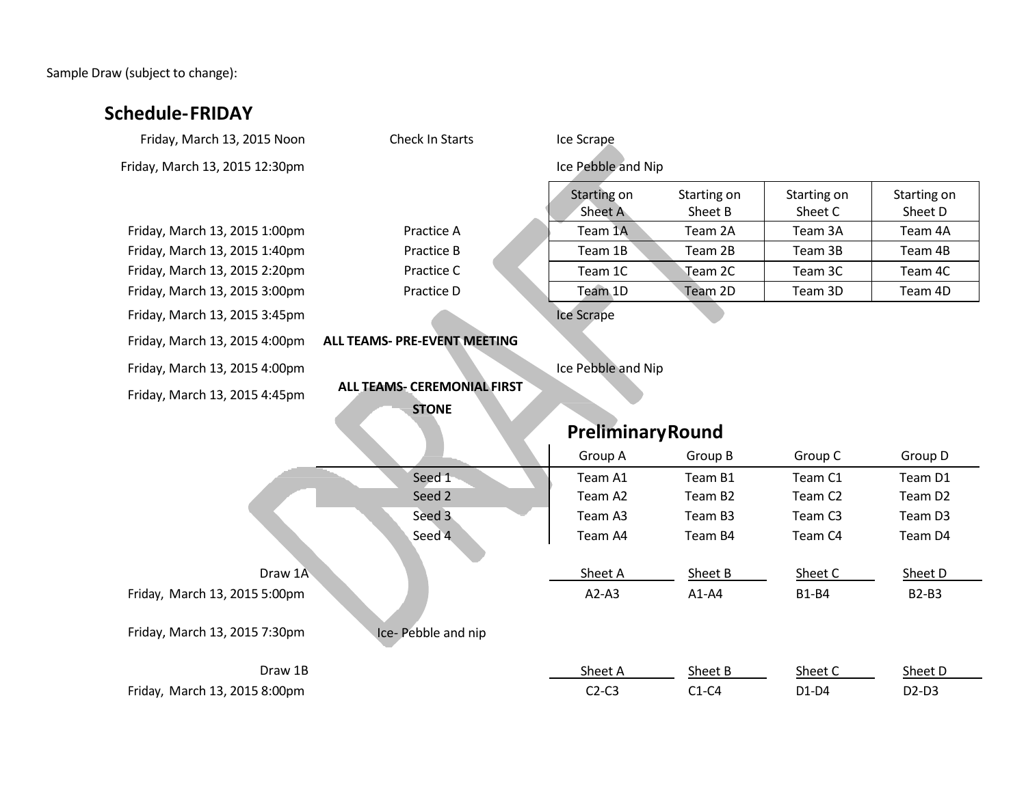Sample Draw (subject to change):

| <b>Schedule-FRIDAY</b>         |                                    |                          |                     |                     |                     |
|--------------------------------|------------------------------------|--------------------------|---------------------|---------------------|---------------------|
| Friday, March 13, 2015 Noon    | Check In Starts                    | Ice Scrape               |                     |                     |                     |
| Friday, March 13, 2015 12:30pm |                                    | Ice Pebble and Nip       |                     |                     |                     |
|                                |                                    | Starting on              | Starting on         | Starting on         | Starting on         |
|                                |                                    | Sheet A                  | Sheet B             | Sheet C             | Sheet D             |
| Friday, March 13, 2015 1:00pm  | Practice A                         | Team 1A                  | Team 2A             | Team 3A             | Team 4A             |
| Friday, March 13, 2015 1:40pm  | Practice B                         | Team 1B                  | Team 2B             | Team 3B             | Team 4B             |
| Friday, March 13, 2015 2:20pm  | Practice C                         | Team 1C                  | Team 2C             | Team 3C             | Team 4C             |
| Friday, March 13, 2015 3:00pm  | Practice D                         | Team 1D                  | Team 2D             | Team 3D             | Team 4D             |
| Friday, March 13, 2015 3:45pm  |                                    | Ice Scrape               |                     |                     |                     |
| Friday, March 13, 2015 4:00pm  | ALL TEAMS- PRE-EVENT MEETING       |                          |                     |                     |                     |
| Friday, March 13, 2015 4:00pm  |                                    | Ice Pebble and Nip       |                     |                     |                     |
| Friday, March 13, 2015 4:45pm  | <b>ALL TEAMS- CEREMONIAL FIRST</b> |                          |                     |                     |                     |
|                                | <b>STONE</b>                       |                          |                     |                     |                     |
|                                |                                    | <b>Preliminary Round</b> |                     |                     |                     |
|                                |                                    | Group A                  | Group B             | Group C             | Group D             |
|                                | Seed 1                             | Team A1                  | Team B1             | Team C1             | Team D1             |
|                                | Seed 2                             | Team A2                  | Team B <sub>2</sub> | Team C <sub>2</sub> | Team D <sub>2</sub> |
|                                | Seed 3                             | Team A3                  | Team B3             | Team C <sub>3</sub> | Team D3             |
|                                | Seed 4                             | Team A4                  | Team B4             | Team C4             | Team D4             |
| Draw 1A                        |                                    | Sheet A                  | Sheet B             | Sheet C             | Sheet D             |
| Friday, March 13, 2015 5:00pm  |                                    | $A2-A3$                  | $A1-A4$             | <b>B1-B4</b>        | <b>B2-B3</b>        |
| Friday, March 13, 2015 7:30pm  | Ice-Pebble and nip                 |                          |                     |                     |                     |
| Draw 1B                        |                                    | Sheet A                  | Sheet B             | Sheet C             | Sheet D             |
| Friday, March 13, 2015 8:00pm  |                                    | $C2-C3$                  | $C1-C4$             | $D1-D4$             | $D2-D3$             |
|                                |                                    |                          |                     |                     |                     |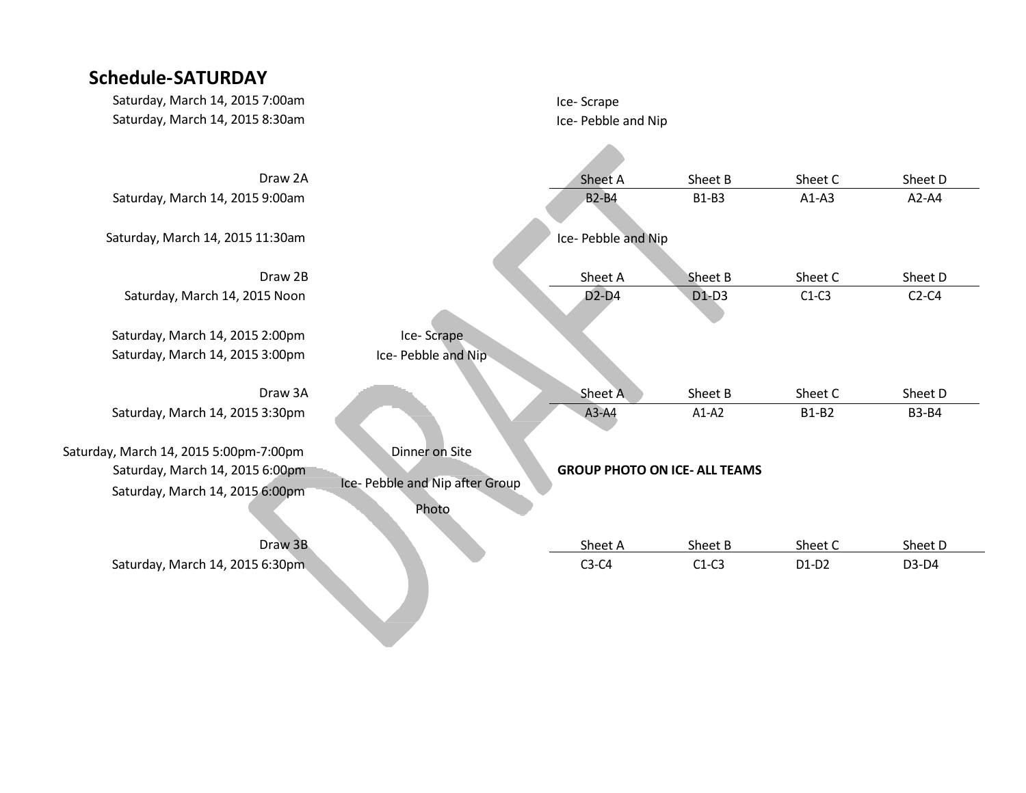# **Schedule-SATURDAY**

| Saturday, March 14, 2015 7:00am                                           |                                          | Ice-Scrape          |                                      |              |              |
|---------------------------------------------------------------------------|------------------------------------------|---------------------|--------------------------------------|--------------|--------------|
| Saturday, March 14, 2015 8:30am                                           |                                          | Ice- Pebble and Nip |                                      |              |              |
|                                                                           |                                          |                     |                                      |              |              |
| Draw 2A                                                                   |                                          | Sheet A             | Sheet B                              | Sheet C      | Sheet D      |
| Saturday, March 14, 2015 9:00am                                           |                                          | <b>B2-B4</b>        | <b>B1-B3</b>                         | $A1-A3$      | $A2-A4$      |
| Saturday, March 14, 2015 11:30am                                          |                                          | Ice- Pebble and Nip |                                      |              |              |
| Draw 2B                                                                   |                                          | Sheet A             | Sheet B                              | Sheet C      | Sheet D      |
| Saturday, March 14, 2015 Noon                                             |                                          | $D2-D4$             | $D1-D3$                              | $C1-C3$      | $C2-C4$      |
| Saturday, March 14, 2015 2:00pm                                           | Ice-Scrape                               |                     |                                      |              |              |
| Saturday, March 14, 2015 3:00pm                                           | Ice- Pebble and Nip                      |                     |                                      |              |              |
| Draw 3A                                                                   |                                          | Sheet A             | Sheet B                              | Sheet C      | Sheet D      |
| Saturday, March 14, 2015 3:30pm                                           |                                          | A3-A4               | $A1-A2$                              | <b>B1-B2</b> | <b>B3-B4</b> |
| Saturday, March 14, 2015 5:00pm-7:00pm<br>Saturday, March 14, 2015 6:00pm | Dinner on Site                           |                     | <b>GROUP PHOTO ON ICE- ALL TEAMS</b> |              |              |
| Saturday, March 14, 2015 6:00pm                                           | Ice- Pebble and Nip after Group<br>Photo |                     |                                      |              |              |
| Draw 3B                                                                   |                                          | Sheet A             | Sheet B                              | Sheet C      | Sheet D      |
| Saturday, March 14, 2015 6:30pm.                                          |                                          | $C3-C4$             | $C1-C3$                              | $D1-D2$      | D3-D4        |
|                                                                           |                                          |                     |                                      |              |              |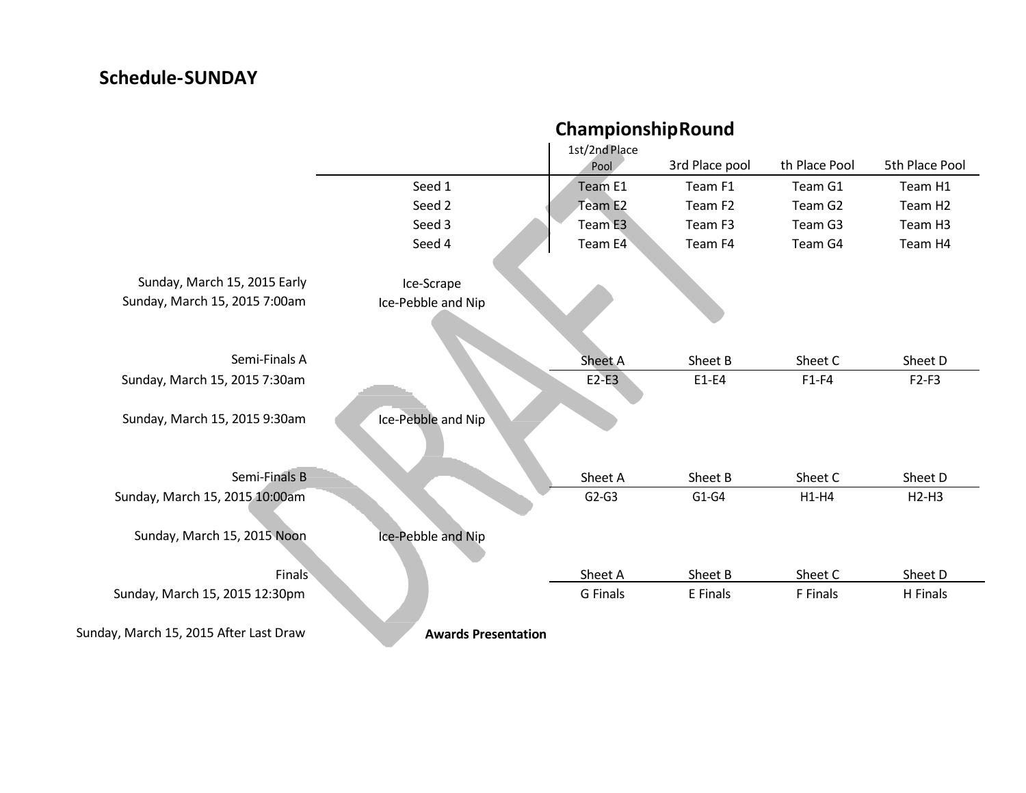# **Schedule-SUNDAY**

|                                        | ChampionshipRound          |                       |                     |                     |                     |  |
|----------------------------------------|----------------------------|-----------------------|---------------------|---------------------|---------------------|--|
|                                        |                            | 1st/2nd Place<br>Pool | 3rd Place pool      | th Place Pool       | 5th Place Pool      |  |
|                                        | Seed 1                     | Team E1               | Team F1             | Team G1             | Team H1             |  |
|                                        | Seed 2                     | Team E2               | Team F <sub>2</sub> | Team G <sub>2</sub> | Team H <sub>2</sub> |  |
|                                        | Seed 3                     | Team E3               | Team F3             | Team G3             | Team H3             |  |
|                                        | Seed 4                     | Team E4               | Team F4             | Team G4             | Team H4             |  |
| Sunday, March 15, 2015 Early           | Ice-Scrape                 |                       |                     |                     |                     |  |
| Sunday, March 15, 2015 7:00am          | Ice-Pebble and Nip         |                       |                     |                     |                     |  |
| Semi-Finals A                          |                            | <b>Sheet A</b>        | Sheet B             | Sheet C             | Sheet D             |  |
| Sunday, March 15, 2015 7:30am          |                            | $E2-E3$               | $E1-E4$             | $F1-F4$             | $F2-F3$             |  |
| Sunday, March 15, 2015 9:30am          | Ice-Pebble and Nip         |                       |                     |                     |                     |  |
| Semi-Finals B                          |                            | Sheet A               | Sheet B             | Sheet C             | Sheet D             |  |
| Sunday, March 15, 2015 10:00am         |                            | $G2-G3$               | $G1-G4$             | $H1-H4$             | $H2-H3$             |  |
| Sunday, March 15, 2015 Noon            | Ice-Pebble and Nip         |                       |                     |                     |                     |  |
| <b>Finals</b>                          |                            | Sheet A               | Sheet B             | Sheet C             | Sheet D             |  |
| Sunday, March 15, 2015 12:30pm         |                            | G Finals              | E Finals            | F Finals            | H Finals            |  |
| Sunday, March 15, 2015 After Last Draw | <b>Awards Presentation</b> |                       |                     |                     |                     |  |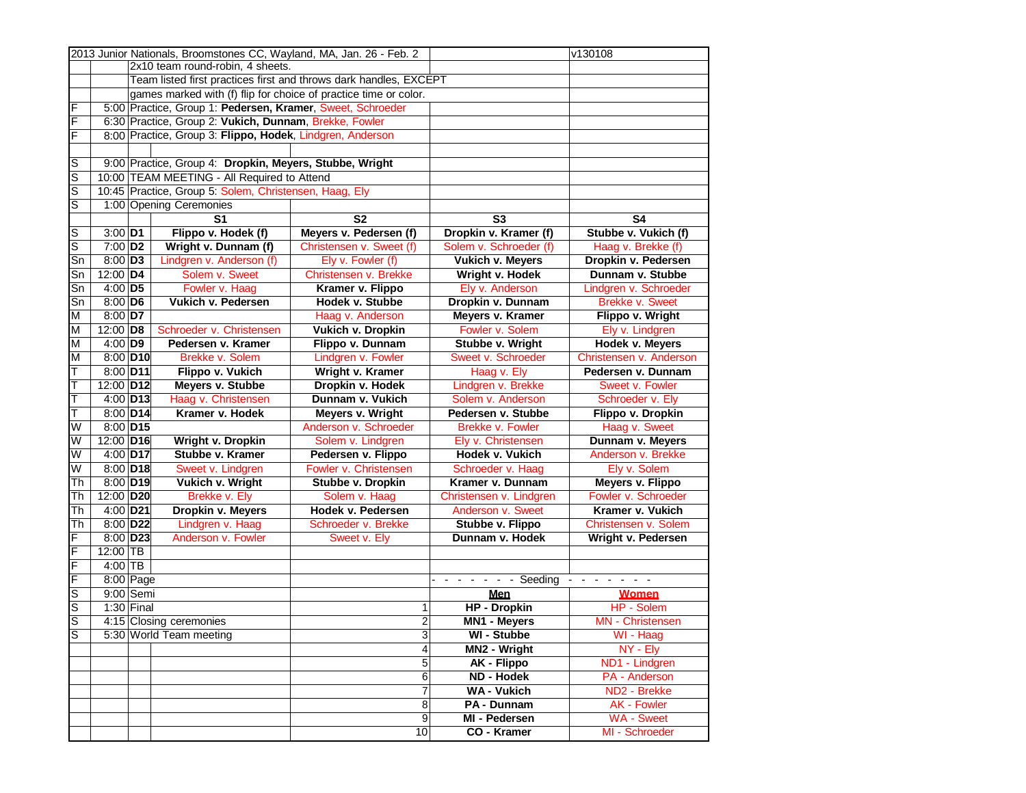|                         |                        |                              | 2013 Junior Nationals, Broomstones CC, Wayland, MA, Jan. 26 - Feb. 2 |                                                                   | v130108                 |                           |
|-------------------------|------------------------|------------------------------|----------------------------------------------------------------------|-------------------------------------------------------------------|-------------------------|---------------------------|
|                         |                        |                              | 2x10 team round-robin, 4 sheets.                                     |                                                                   |                         |                           |
|                         |                        |                              |                                                                      | Team listed first practices first and throws dark handles, EXCEPT |                         |                           |
|                         |                        |                              | games marked with (f) flip for choice of practice time or color.     |                                                                   |                         |                           |
| F                       |                        |                              | 5:00 Practice, Group 1: Pedersen, Kramer, Sweet, Schroeder           |                                                                   |                         |                           |
| F                       |                        |                              | 6:30 Practice, Group 2: Vukich, Dunnam, Brekke, Fowler               |                                                                   |                         |                           |
| F                       |                        |                              | 8:00 Practice, Group 3: Flippo, Hodek, Lindgren, Anderson            |                                                                   |                         |                           |
|                         |                        |                              |                                                                      |                                                                   |                         |                           |
| S                       |                        |                              | 9:00 Practice, Group 4: Dropkin, Meyers, Stubbe, Wright              |                                                                   |                         |                           |
| $\overline{\mathsf{s}}$ |                        |                              | 10:00 TEAM MEETING - All Required to Attend                          |                                                                   |                         |                           |
| S                       |                        |                              | 10:45 Practice, Group 5: Solem, Christensen, Haag, Ely               |                                                                   |                         |                           |
| $\overline{s}$          |                        |                              | 1:00 Opening Ceremonies                                              |                                                                   |                         |                           |
|                         |                        |                              | S <sub>1</sub>                                                       | <b>S2</b>                                                         | S <sub>3</sub>          | S <sub>4</sub>            |
| S                       |                        |                              | Flippo v. Hodek (f)                                                  | Meyers v. Pedersen (f)                                            | Dropkin v. Kramer (f)   | Stubbe v. Vukich (f)      |
| $\overline{\mathsf{s}}$ | $3:00$ D1              |                              |                                                                      |                                                                   | Solem v. Schroeder (f)  |                           |
|                         | $7:00$ D <sub>2</sub>  |                              | Wright v. Dunnam (f)                                                 | Christensen v. Sweet (f)                                          |                         | Haag v. Brekke (f)        |
| Sn                      | $8:00$ D <sub>3</sub>  |                              | Lindgren v. Anderson (f)                                             | Ely v. Fowler (f)                                                 | <b>Vukich v. Meyers</b> | Dropkin v. Pedersen       |
| Sn                      | 12:00 D4               |                              | Solem v. Sweet                                                       | Christensen v. Brekke                                             | Wright v. Hodek         | Dunnam v. Stubbe          |
| Sn                      | $4:00$ D5              |                              | Fowler v. Haag                                                       | Kramer v. Flippo                                                  | Ely v. Anderson         | Lindgren v. Schroeder     |
| Sn                      | $8:00$ D6              |                              | Vukich v. Pedersen                                                   | Hodek v. Stubbe                                                   | Dropkin v. Dunnam       | <b>Brekke v. Sweet</b>    |
| M                       | $8:00$ D7              |                              |                                                                      | Haag v. Anderson                                                  | Meyers v. Kramer        | Flippo v. Wright          |
| M                       | 12:00 D8               |                              | Schroeder v. Christensen                                             | <b>Vukich v. Dropkin</b>                                          | Fowler v. Solem         | Ely v. Lindgren           |
| M                       | $4:00$ D9              |                              | Pedersen v. Kramer                                                   | Flippo v. Dunnam                                                  | Stubbe v. Wright        | <b>Hodek v. Meyers</b>    |
| M                       |                        | 8:00 D10<br>Brekke v. Solem  |                                                                      | Lindgren v. Fowler                                                | Sweet v. Schroeder      | Christensen v. Anderson   |
| T                       |                        | 8:00 D11<br>Flippo v. Vukich |                                                                      | Wright v. Kramer                                                  | Haag v. Ely             | Pedersen v. Dunnam        |
| Ŧ                       | 12:00 D12              |                              | Meyers v. Stubbe                                                     | Dropkin v. Hodek                                                  | Lindgren v. Brekke      | Sweet v. Fowler           |
| T                       | $4:00$ D <sub>13</sub> |                              | Haag v. Christensen                                                  | Dunnam v. Vukich                                                  | Solem v. Anderson       | Schroeder v. Ely          |
| Т                       | 8:00 D14               |                              | Kramer v. Hodek                                                      | <b>Meyers v. Wright</b>                                           | Pedersen v. Stubbe      | Flippo v. Dropkin         |
| W                       | 8:00 D15               |                              |                                                                      | Anderson v. Schroeder                                             | Brekke v. Fowler        | Haag v. Sweet             |
| W                       | 12:00 D16              |                              | Wright v. Dropkin                                                    | Solem v. Lindgren                                                 | Ely v. Christensen      | Dunnam v. Meyers          |
| W                       | 4:00 D17               |                              | Stubbe v. Kramer                                                     | Pedersen v. Flippo                                                | Hodek v. Vukich         | Anderson v. Brekke        |
| W                       | $8:00$ D18             |                              | Sweet v. Lindgren                                                    | Fowler v. Christensen                                             | Schroeder v. Haag       | Ely v. Solem              |
| Th                      | 8:00 D19               |                              | Vukich v. Wright                                                     | Stubbe v. Dropkin                                                 | Kramer v. Dunnam        | <b>Meyers v. Flippo</b>   |
| Th                      | 12:00 D20              |                              | Brekke v. Ely                                                        | Solem v. Haag                                                     | Christensen v. Lindgren | Fowler v. Schroeder       |
| Th                      | 4:00 D21               |                              | Dropkin v. Meyers                                                    | Hodek v. Pedersen                                                 | Anderson v. Sweet       | Kramer v. Vukich          |
| Th                      | 8:00 D22               |                              | Lindgren v. Haag                                                     | Schroeder v. Brekke                                               | Stubbe v. Flippo        | Christensen v. Solem      |
| F                       | 8:00 D23               |                              | Anderson v. Fowler                                                   | Sweet v. Ely                                                      | Dunnam v. Hodek         | Wright v. Pedersen        |
| F                       | $12:00$ TB             |                              |                                                                      |                                                                   |                         |                           |
| $\overline{F}$          | $4:00$ TB              |                              |                                                                      |                                                                   |                         |                           |
| F                       | 8:00 Page              |                              |                                                                      |                                                                   | Seeding                 | $\sim$ 10 $\sim$<br>- - - |
| S                       | 9:00 Semi              |                              |                                                                      |                                                                   | Men                     | <b>Women</b>              |
| $\overline{\mathsf{s}}$ | $1:30$ Final           |                              |                                                                      | 1                                                                 | <b>HP</b> - Dropkin     | HP - Solem                |
| ls                      |                        |                              | 4:15 Closing ceremonies                                              | $\overline{a}$                                                    | <b>MN1 - Meyers</b>     | <b>MN</b> - Christensen   |
| S                       |                        |                              | 5:30 World Team meeting                                              | 3                                                                 | WI - Stubbe             | WI - Haag                 |
|                         |                        |                              |                                                                      | $\overline{\mathbf{A}}$                                           | MN2 - Wright            | NY - Ely                  |
|                         |                        |                              |                                                                      | $\overline{5}$                                                    | <b>AK - Flippo</b>      | ND1 - Lindgren            |
|                         |                        |                              |                                                                      | $6\,$                                                             | <b>ND - Hodek</b>       | PA - Anderson             |
|                         |                        |                              |                                                                      | $\overline{7}$                                                    | <b>WA-Vukich</b>        | ND2 - Brekke              |
|                         |                        |                              |                                                                      | 8                                                                 | PA - Dunnam             | AK - Fowler               |
|                         |                        |                              |                                                                      | 9                                                                 | MI - Pedersen           | <b>WA - Sweet</b>         |
|                         |                        |                              |                                                                      | 10                                                                | CO - Kramer             | MI - Schroeder            |
|                         |                        |                              |                                                                      |                                                                   |                         |                           |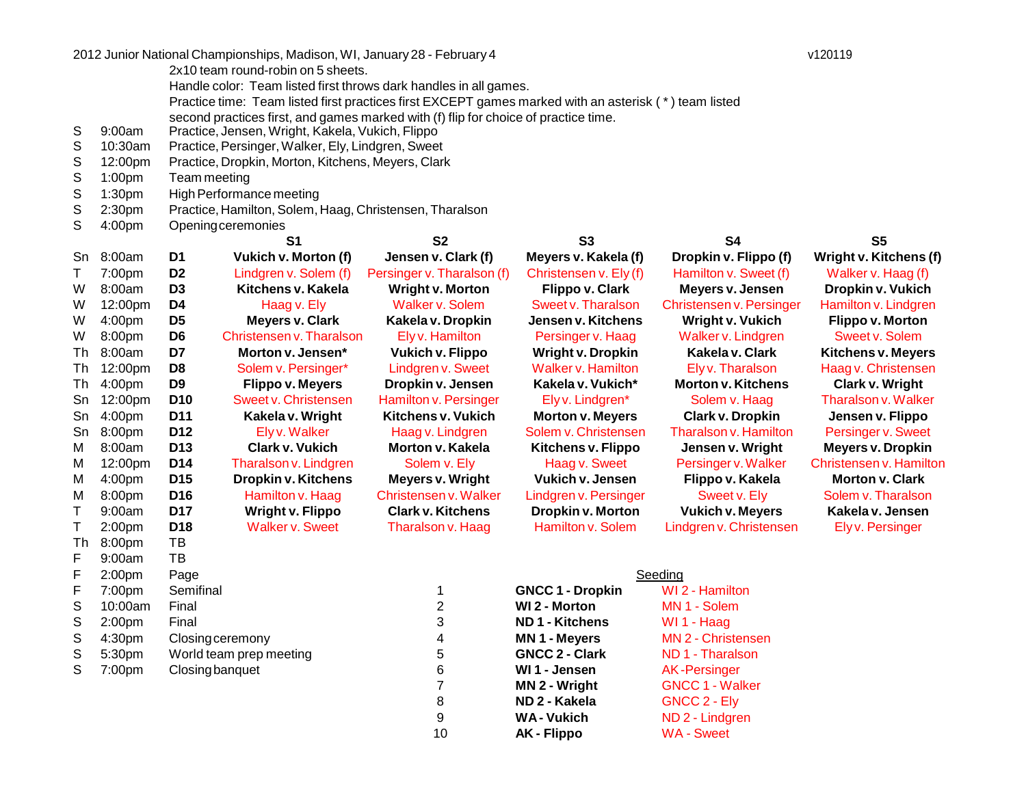|    |                    |                 | 2012 Junior National Championships, Madison, WI, January 28 - February 4                              |                            |                           |                              | v120119                   |
|----|--------------------|-----------------|-------------------------------------------------------------------------------------------------------|----------------------------|---------------------------|------------------------------|---------------------------|
|    |                    |                 | 2x10 team round-robin on 5 sheets.                                                                    |                            |                           |                              |                           |
|    |                    |                 | Handle color: Team listed first throws dark handles in all games.                                     |                            |                           |                              |                           |
|    |                    |                 | Practice time: Team listed first practices first EXCEPT games marked with an asterisk (*) team listed |                            |                           |                              |                           |
|    |                    |                 | second practices first, and games marked with (f) flip for choice of practice time.                   |                            |                           |                              |                           |
| S  | 9:00am             |                 | Practice, Jensen, Wright, Kakela, Vukich, Flippo                                                      |                            |                           |                              |                           |
| S  | 10:30am            |                 | Practice, Persinger, Walker, Ely, Lindgren, Sweet                                                     |                            |                           |                              |                           |
| S  | 12:00pm            |                 | Practice, Dropkin, Morton, Kitchens, Meyers, Clark                                                    |                            |                           |                              |                           |
| S  | 1:00pm             | Team meeting    |                                                                                                       |                            |                           |                              |                           |
| S  | 1:30 <sub>pm</sub> |                 | High Performance meeting                                                                              |                            |                           |                              |                           |
| S  | 2:30 <sub>pm</sub> |                 | Practice, Hamilton, Solem, Haag, Christensen, Tharalson                                               |                            |                           |                              |                           |
| S  | 4:00pm             |                 | Openingceremonies                                                                                     |                            |                           |                              |                           |
|    |                    |                 | S1                                                                                                    | <b>S2</b>                  | <b>S3</b>                 | <b>S4</b>                    | S <sub>5</sub>            |
| Sn | 8:00am             | D <sub>1</sub>  | <b>Vukich v. Morton (f)</b>                                                                           | Jensen v. Clark (f)        | Meyers v. Kakela (f)      | Dropkin v. Flippo (f)        | Wright v. Kitchens (f)    |
| Τ  | 7:00pm             | D <sub>2</sub>  | Lindgren v. Solem (f)                                                                                 | Persinger v. Tharalson (f) | Christensen v. Ely (f)    | Hamilton v. Sweet (f)        | Walker v. Haag (f)        |
| W  | 8:00am             | D <sub>3</sub>  | Kitchens v. Kakela                                                                                    | <b>Wright v. Morton</b>    | <b>Flippo v. Clark</b>    | Meyers v. Jensen             | Dropkin v. Vukich         |
| W  | 12:00pm            | D4              | Haag v. Ely                                                                                           | Walker v. Solem            | Sweet v. Tharalson        | Christensen v. Persinger     | Hamilton v. Lindgren      |
| W  | 4:00pm             | D <sub>5</sub>  | <b>Meyers v. Clark</b>                                                                                | Kakela v. Dropkin          | Jensen v. Kitchens        | <b>Wright v. Vukich</b>      | <b>Flippo v. Morton</b>   |
| W  | 8:00pm             | D <sub>6</sub>  | Christensen v. Tharalson                                                                              | Ely v. Hamilton            | Persinger v. Haag         | Walker v. Lindgren           | Sweet v. Solem            |
| Th | 8:00am             | D7              | Morton v. Jensen*                                                                                     | <b>Vukich v. Flippo</b>    | <b>Wright v. Dropkin</b>  | Kakela v. Clark              | <b>Kitchens v. Meyers</b> |
| Th | 12:00pm            | D <sub>8</sub>  | Solem v. Persinger*                                                                                   | <b>Lindgren v. Sweet</b>   | <b>Walker v. Hamilton</b> | Elyv. Tharalson              | Haag v. Christensen       |
| Th | 4:00pm             | D <sub>9</sub>  | <b>Flippo v. Meyers</b>                                                                               | Dropkin v. Jensen          | Kakela v. Vukich*         | <b>Morton v. Kitchens</b>    | <b>Clark v. Wright</b>    |
| Sn | 12:00pm            | D <sub>10</sub> | Sweet v. Christensen                                                                                  | Hamilton v. Persinger      | Ely v. Lindgren*          | Solem v. Haag                | Tharalson v. Walker       |
| Sn | 4:00pm             | D <sub>11</sub> | Kakela v. Wright                                                                                      | <b>Kitchens v. Vukich</b>  | <b>Morton v. Meyers</b>   | Clark v. Dropkin             | Jensen v. Flippo          |
| Sn | 8:00pm             | D <sub>12</sub> | Ely v. Walker                                                                                         | Haag v. Lindgren           | Solem v. Christensen      | <b>Tharalson v. Hamilton</b> | Persinger v. Sweet        |
| м  | 8:00am             | D <sub>13</sub> | <b>Clark v. Vukich</b>                                                                                | Morton v. Kakela           | Kitchens v. Flippo        | Jensen v. Wright             | <b>Meyers v. Dropkin</b>  |
| M  | 12:00pm            | D <sub>14</sub> | Tharalson v. Lindgren                                                                                 | Solem v. Ely               | Haag v. Sweet             | Persinger v. Walker          | Christensen v. Hamilton   |
| M  | 4:00 <sub>pm</sub> | D <sub>15</sub> | Dropkin v. Kitchens                                                                                   | <b>Meyers v. Wright</b>    | <b>Vukich v. Jensen</b>   | Flippo v. Kakela             | <b>Morton v. Clark</b>    |
| M  | 8:00pm             | D <sub>16</sub> | Hamilton v. Haag                                                                                      | Christensen v. Walker      | Lindgren v. Persinger     | Sweet v. Ely                 | Solem v. Tharalson        |
| Τ  | 9:00am             | <b>D17</b>      | <b>Wright v. Flippo</b>                                                                               | <b>Clark v. Kitchens</b>   | Dropkin v. Morton         | <b>Vukich v. Meyers</b>      | Kakela v. Jensen          |
| T  | 2:00 <sub>pm</sub> | D <sub>18</sub> | <b>Walker v. Sweet</b>                                                                                | Tharalson v. Haag          | Hamilton v. Solem         | Lindgren v. Christensen      | Ely v. Persinger          |
| Тh | 8:00pm             | TB              |                                                                                                       |                            |                           |                              |                           |
| F  | 9:00am             | TВ              |                                                                                                       |                            |                           |                              |                           |
| F  | 2:00 <sub>pm</sub> | Page            |                                                                                                       |                            |                           | Seeding                      |                           |
| F  | 7:00pm             | Semifinal       |                                                                                                       | 1                          | <b>GNCC 1 - Dropkin</b>   | WI 2 - Hamilton              |                           |
| S  | 10:00am            | Final           |                                                                                                       | $\overline{\mathbf{c}}$    | <b>WI 2 - Morton</b>      | MN 1 - Solem                 |                           |
| S  | 2:00 <sub>pm</sub> | Final           |                                                                                                       | 3                          | <b>ND1 - Kitchens</b>     | WI 1 - Haag                  |                           |
| S  | 4:30pm             |                 | <b>Closing ceremony</b>                                                                               | 4                          | <b>MN 1 - Meyers</b>      | MN 2 - Christensen           |                           |
| S  | 5:30pm             |                 | World team prep meeting                                                                               | 5                          | <b>GNCC 2 - Clark</b>     | ND 1 - Tharalson             |                           |
| S  | 7:00pm             |                 | Closing banquet                                                                                       | 6                          | WI1 - Jensen              | <b>AK-Persinger</b>          |                           |
|    |                    |                 |                                                                                                       | $\overline{7}$             | MN 2 - Wright             | <b>GNCC 1 - Walker</b>       |                           |
|    |                    |                 |                                                                                                       | 8                          | ND 2 - Kakela             | GNCC 2 - Ely                 |                           |
|    |                    |                 |                                                                                                       | 9                          | <b>WA-Vukich</b>          | ND 2 - Lindgren              |                           |
|    |                    |                 |                                                                                                       | 10                         | <b>AK - Flippo</b>        | <b>WA-Sweet</b>              |                           |